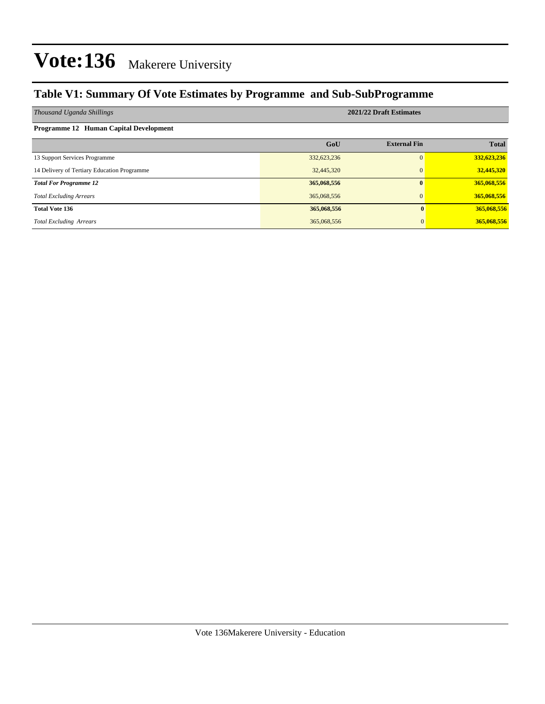#### **Table V1: Summary Of Vote Estimates by Programme and Sub-SubProgramme**

| Thousand Uganda Shillings                     | 2021/22 Draft Estimates |                     |              |  |  |  |  |  |
|-----------------------------------------------|-------------------------|---------------------|--------------|--|--|--|--|--|
| <b>Programme 12 Human Capital Development</b> |                         |                     |              |  |  |  |  |  |
|                                               | GoU                     | <b>External Fin</b> | <b>Total</b> |  |  |  |  |  |
| 13 Support Services Programme                 | 332,623,236             | 0                   | 332,623,236  |  |  |  |  |  |
| 14 Delivery of Tertiary Education Programme   | 32,445,320              | $\Omega$            | 32,445,320   |  |  |  |  |  |
| <b>Total For Programme 12</b>                 | 365,068,556             | $\mathbf{0}$        | 365,068,556  |  |  |  |  |  |
| <b>Total Excluding Arrears</b>                | 365,068,556             | $\mathbf{0}$        | 365,068,556  |  |  |  |  |  |
| <b>Total Vote 136</b>                         | 365,068,556             |                     | 365,068,556  |  |  |  |  |  |
| <b>Total Excluding Arrears</b>                | 365,068,556             |                     | 365,068,556  |  |  |  |  |  |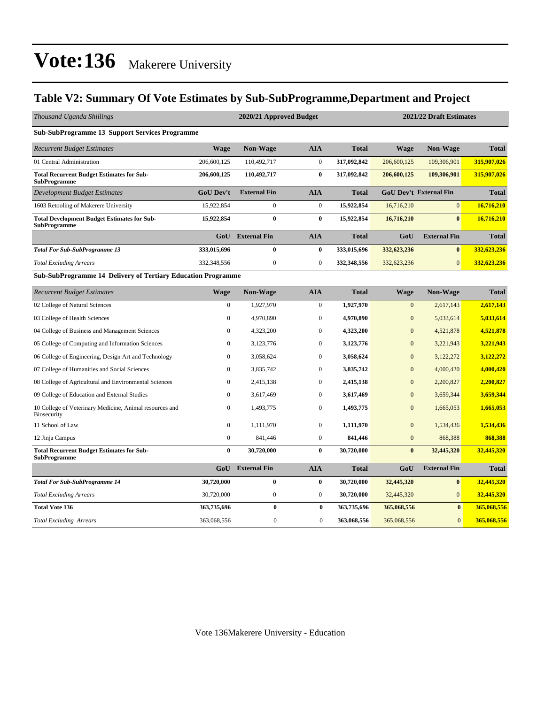#### **Table V2: Summary Of Vote Estimates by Sub-SubProgramme,Department and Project**

| Thousand Uganda Shillings                                               |                  | 2020/21 Approved Budget |                  |              | 2021/22 Draft Estimates |                               |              |  |
|-------------------------------------------------------------------------|------------------|-------------------------|------------------|--------------|-------------------------|-------------------------------|--------------|--|
| <b>Sub-SubProgramme 13 Support Services Programme</b>                   |                  |                         |                  |              |                         |                               |              |  |
| <b>Recurrent Budget Estimates</b>                                       | <b>Wage</b>      | <b>Non-Wage</b>         | <b>AIA</b>       | <b>Total</b> | <b>Wage</b>             | <b>Non-Wage</b>               | <b>Total</b> |  |
| 01 Central Administration                                               | 206,600,125      | 110,492,717             | $\mathbf{0}$     | 317,092,842  | 206,600,125             | 109,306,901                   | 315,907,026  |  |
| <b>Total Recurrent Budget Estimates for Sub-</b><br><b>SubProgramme</b> | 206,600,125      | 110,492,717             | $\bf{0}$         | 317,092,842  | 206,600,125             | 109,306,901                   | 315,907,026  |  |
| <b>Development Budget Estimates</b>                                     | <b>GoU Dev't</b> | <b>External Fin</b>     | <b>AIA</b>       | <b>Total</b> |                         | <b>GoU Dev't External Fin</b> | <b>Total</b> |  |
| 1603 Retooling of Makerere University                                   | 15,922,854       | $\mathbf{0}$            | $\mathbf{0}$     | 15,922,854   | 16,716,210              | $\overline{0}$                | 16,716,210   |  |
| <b>Total Development Budget Estimates for Sub-</b><br>SubProgramme      | 15,922,854       | 0                       | 0                | 15,922,854   | 16,716,210              | $\mathbf{0}$                  | 16,716,210   |  |
|                                                                         | GoU              | <b>External Fin</b>     | <b>AIA</b>       | <b>Total</b> | GoU                     | <b>External Fin</b>           | <b>Total</b> |  |
| <b>Total For Sub-SubProgramme 13</b>                                    | 333,015,696      | 0                       | 0                | 333,015,696  | 332,623,236             | $\bf{0}$                      | 332,623,236  |  |
| <b>Total Excluding Arrears</b>                                          | 332,348,556      | $\mathbf{0}$            | $\mathbf{0}$     | 332,348,556  | 332,623,236             | $\Omega$                      | 332,623,236  |  |
| <b>Sub-SubProgramme 14 Delivery of Tertiary Education Programme</b>     |                  |                         |                  |              |                         |                               |              |  |
| <b>Recurrent Budget Estimates</b>                                       | <b>Wage</b>      | Non-Wage                | <b>AIA</b>       | <b>Total</b> | <b>Wage</b>             | <b>Non-Wage</b>               | <b>Total</b> |  |
| 02 College of Natural Sciences                                          | $\mathbf{0}$     | 1,927,970               | $\boldsymbol{0}$ | 1,927,970    | $\mathbf{0}$            | 2,617,143                     | 2,617,143    |  |
| 03 College of Health Sciences                                           | $\mathbf{0}$     | 4,970,890               | $\mathbf{0}$     | 4,970,890    | $\mathbf{0}$            | 5,033,614                     | 5,033,614    |  |
| 04 College of Business and Management Sciences                          | $\mathbf{0}$     | 4,323,200               | $\mathbf{0}$     | 4,323,200    | $\overline{0}$          | 4,521,878                     | 4,521,878    |  |
| 05 College of Computing and Information Sciences                        | $\mathbf{0}$     | 3,123,776               | $\mathbf{0}$     | 3,123,776    | $\mathbf{0}$            | 3,221,943                     | 3,221,943    |  |

| <b>Total Excluding Arrears</b>                                                | 363,068,556      | 0                   | $\mathbf{0}$   | 363,068,556  | 365,068,556  | $\overline{0}$      | 365,068,556  |
|-------------------------------------------------------------------------------|------------------|---------------------|----------------|--------------|--------------|---------------------|--------------|
| <b>Total Vote 136</b>                                                         | 363,735,696      | $\bf{0}$            | $\bf{0}$       | 363,735,696  | 365,068,556  |                     | 365,068,556  |
| <b>Total Excluding Arrears</b>                                                | 30,720,000       | $\mathbf{0}$        | $\overline{0}$ | 30,720,000   | 32,445,320   | $\overline{0}$      | 32,445,320   |
| <b>Total For Sub-SubProgramme 14</b>                                          | 30,720,000       | $\bf{0}$            | $\bf{0}$       | 30,720,000   | 32,445,320   | $\bf{0}$            | 32,445,320   |
|                                                                               | GoU              | <b>External Fin</b> | <b>AIA</b>     | <b>Total</b> | GoU          | <b>External Fin</b> | <b>Total</b> |
| <b>Total Recurrent Budget Estimates for Sub-</b><br><b>SubProgramme</b>       | $\bf{0}$         | 30,720,000          | $\bf{0}$       | 30,720,000   | $\bf{0}$     | 32,445,320          | 32,445,320   |
| 12 Jinja Campus                                                               | $\mathbf{0}$     | 841,446             | $\overline{0}$ | 841,446      | $\mathbf{0}$ | 868,388             | 868,388      |
| 11 School of Law                                                              | $\boldsymbol{0}$ | 1,111,970           | 0              | 1,111,970    | $\mathbf{0}$ | 1,534,436           | 1,534,436    |
| 10 College of Veterinary Medicine, Animal resources and<br><b>Biosecurity</b> | $\mathbf{0}$     | 1,493,775           | 0              | 1,493,775    | $\mathbf{0}$ | 1,665,053           | 1,665,053    |
| 09 College of Education and External Studies                                  | $\mathbf{0}$     | 3,617,469           | 0              | 3,617,469    | $\mathbf{0}$ | 3,659,344           | 3,659,344    |
| 08 College of Agricultural and Environmental Sciences                         | $\mathbf{0}$     | 2,415,138           | $\mathbf{0}$   | 2,415,138    | $\mathbf{0}$ | 2,200,827           | 2,200,827    |
| 07 College of Humanities and Social Sciences                                  | $\mathbf{0}$     | 3,835,742           | $\overline{0}$ | 3,835,742    | $\mathbf{0}$ | 4,000,420           | 4,000,420    |
| 06 College of Engineering, Design Art and Technology                          | $\bf{0}$         | 3,058,624           | $\overline{0}$ | 3,058,624    | $\mathbf{0}$ | 3,122,272           | 3,122,272    |
| 05 College of Computing and Information Sciences                              | $\mathbf{0}$     | 3,123,776           | $\mathbf{0}$   | 3,123,776    | $\mathbf{0}$ | 3,221,943           | 3,221,943    |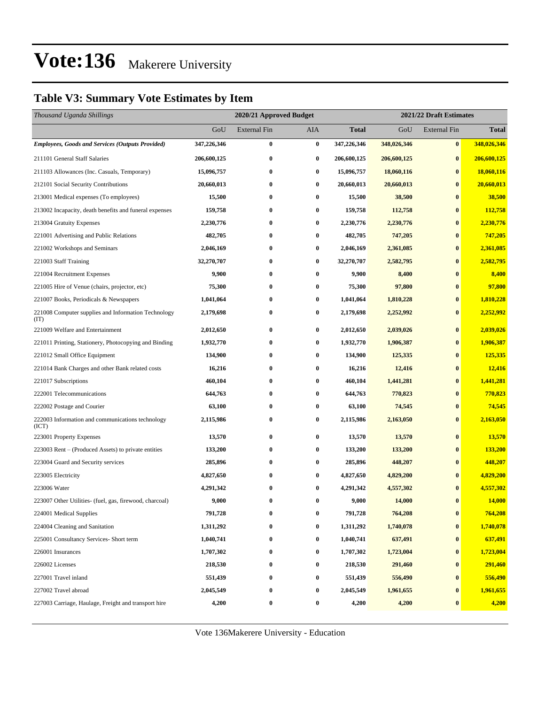#### **Table V3: Summary Vote Estimates by Item**

| Thousand Uganda Shillings                                   |             | 2020/21 Approved Budget |                  |              | 2021/22 Draft Estimates |                     |              |  |
|-------------------------------------------------------------|-------------|-------------------------|------------------|--------------|-------------------------|---------------------|--------------|--|
|                                                             | GoU         | <b>External Fin</b>     | AIA              | <b>Total</b> | GoU                     | <b>External Fin</b> | <b>Total</b> |  |
| <b>Employees, Goods and Services (Outputs Provided)</b>     | 347,226,346 | $\bf{0}$                | $\bf{0}$         | 347,226,346  | 348,026,346             | $\bf{0}$            | 348,026,346  |  |
| 211101 General Staff Salaries                               | 206,600,125 | $\bf{0}$                | $\bf{0}$         | 206,600,125  | 206,600,125             | $\bf{0}$            | 206,600,125  |  |
| 211103 Allowances (Inc. Casuals, Temporary)                 | 15,096,757  | $\bf{0}$                | $\bf{0}$         | 15,096,757   | 18,060,116              | $\bf{0}$            | 18,060,116   |  |
| 212101 Social Security Contributions                        | 20,660,013  | $\bf{0}$                | $\bf{0}$         | 20,660,013   | 20,660,013              | $\bf{0}$            | 20,660,013   |  |
| 213001 Medical expenses (To employees)                      | 15,500      | $\bf{0}$                | $\bf{0}$         | 15,500       | 38,500                  | $\bf{0}$            | 38,500       |  |
| 213002 Incapacity, death benefits and funeral expenses      | 159,758     | $\bf{0}$                | $\bf{0}$         | 159,758      | 112,758                 | $\bf{0}$            | 112,758      |  |
| 213004 Gratuity Expenses                                    | 2,230,776   | $\bf{0}$                | 0                | 2,230,776    | 2,230,776               | $\bf{0}$            | 2,230,776    |  |
| 221001 Advertising and Public Relations                     | 482,705     | $\bf{0}$                | $\bf{0}$         | 482,705      | 747,205                 | $\bf{0}$            | 747,205      |  |
| 221002 Workshops and Seminars                               | 2,046,169   | $\bf{0}$                | $\bf{0}$         | 2,046,169    | 2,361,085               | $\bf{0}$            | 2,361,085    |  |
| 221003 Staff Training                                       | 32,270,707  | $\bf{0}$                | $\bf{0}$         | 32,270,707   | 2,582,795               | $\bf{0}$            | 2,582,795    |  |
| 221004 Recruitment Expenses                                 | 9,900       | $\bf{0}$                | $\bf{0}$         | 9,900        | 8,400                   | $\bf{0}$            | 8,400        |  |
| 221005 Hire of Venue (chairs, projector, etc)               | 75,300      | $\bf{0}$                | 0                | 75,300       | 97,800                  | $\bf{0}$            | 97,800       |  |
| 221007 Books, Periodicals & Newspapers                      | 1,041,064   | $\bf{0}$                | $\bf{0}$         | 1,041,064    | 1,810,228               | $\bf{0}$            | 1,810,228    |  |
| 221008 Computer supplies and Information Technology<br>(TT) | 2,179,698   | $\bf{0}$                | $\bf{0}$         | 2,179,698    | 2,252,992               | $\bf{0}$            | 2,252,992    |  |
| 221009 Welfare and Entertainment                            | 2,012,650   | $\bf{0}$                | $\bf{0}$         | 2,012,650    | 2,039,026               | $\bf{0}$            | 2,039,026    |  |
| 221011 Printing, Stationery, Photocopying and Binding       | 1,932,770   | $\bf{0}$                | $\bf{0}$         | 1,932,770    | 1,906,387               | $\bf{0}$            | 1,906,387    |  |
| 221012 Small Office Equipment                               | 134,900     | $\bf{0}$                | 0                | 134,900      | 125,335                 | $\bf{0}$            | 125,335      |  |
| 221014 Bank Charges and other Bank related costs            | 16,216      | $\bf{0}$                | $\bf{0}$         | 16,216       | 12,416                  | $\bf{0}$            | 12,416       |  |
| 221017 Subscriptions                                        | 460,104     | $\bf{0}$                | $\bf{0}$         | 460,104      | 1,441,281               | $\bf{0}$            | 1,441,281    |  |
| 222001 Telecommunications                                   | 644,763     | $\bf{0}$                | 0                | 644,763      | 770,823                 | $\bf{0}$            | 770,823      |  |
| 222002 Postage and Courier                                  | 63,100      | $\bf{0}$                | 0                | 63,100       | 74,545                  | $\bf{0}$            | 74,545       |  |
| 222003 Information and communications technology<br>(ICT)   | 2,115,986   | $\bf{0}$                | $\bf{0}$         | 2,115,986    | 2,163,050               | $\bf{0}$            | 2,163,050    |  |
| 223001 Property Expenses                                    | 13,570      | $\bf{0}$                | $\bf{0}$         | 13,570       | 13,570                  | $\bf{0}$            | 13,570       |  |
| 223003 Rent – (Produced Assets) to private entities         | 133,200     | $\bf{0}$                | $\bf{0}$         | 133,200      | 133,200                 | $\bf{0}$            | 133,200      |  |
| 223004 Guard and Security services                          | 285,896     | $\bf{0}$                | 0                | 285,896      | 448,207                 | $\bf{0}$            | 448,207      |  |
| 223005 Electricity                                          | 4,827,650   | $\bf{0}$                | $\bf{0}$         | 4,827,650    | 4,829,200               | $\bf{0}$            | 4,829,200    |  |
| 223006 Water                                                | 4,291,342   | $\bf{0}$                | $\bf{0}$         | 4,291,342    | 4,557,302               | $\bf{0}$            | 4,557,302    |  |
| 223007 Other Utilities- (fuel, gas, firewood, charcoal)     | 9,000       | $\bf{0}$                | $\bf{0}$         | 9,000        | 14,000                  | $\bf{0}$            | 14,000       |  |
| 224001 Medical Supplies                                     | 791,728     | $\bf{0}$                | $\bf{0}$         | 791,728      | 764,208                 | $\bf{0}$            | 764,208      |  |
| 224004 Cleaning and Sanitation                              | 1,311,292   | 0                       | $\bf{0}$         | 1,311,292    | 1,740,078               | $\bf{0}$            | 1,740,078    |  |
| 225001 Consultancy Services- Short term                     | 1,040,741   | $\bf{0}$                | $\bf{0}$         | 1,040,741    | 637,491                 | $\bf{0}$            | 637,491      |  |
| 226001 Insurances                                           | 1,707,302   | $\bf{0}$                | $\bf{0}$         | 1,707,302    | 1,723,004               | $\bf{0}$            | 1,723,004    |  |
| 226002 Licenses                                             | 218,530     | $\bf{0}$                | $\boldsymbol{0}$ | 218,530      | 291,460                 | $\bf{0}$            | 291,460      |  |
| 227001 Travel inland                                        | 551,439     | $\bf{0}$                | $\bf{0}$         | 551,439      | 556,490                 | $\bf{0}$            | 556,490      |  |
| 227002 Travel abroad                                        | 2,045,549   | $\bf{0}$                | $\bf{0}$         | 2,045,549    | 1,961,655               | $\bf{0}$            | 1,961,655    |  |
| 227003 Carriage, Haulage, Freight and transport hire        | 4,200       | $\bf{0}$                | $\boldsymbol{0}$ | 4,200        | 4,200                   | $\bf{0}$            | 4,200        |  |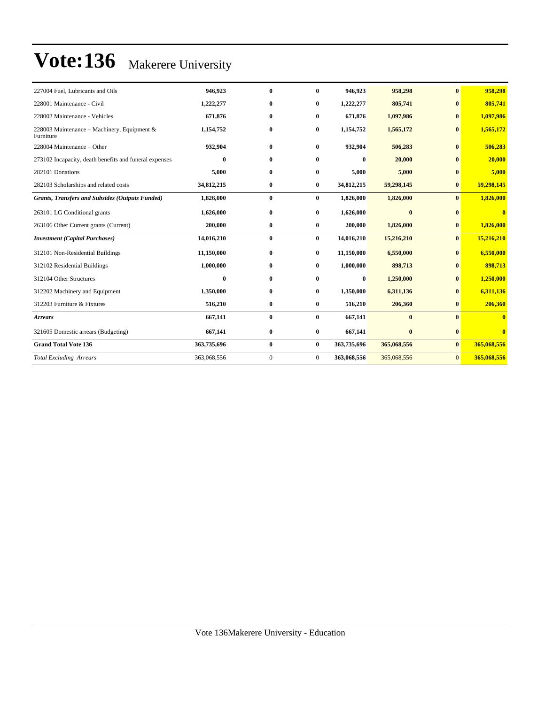| 227004 Fuel, Lubricants and Oils                         | 946.923     | $\mathbf{0}$ | 0            | 946.923     | 958,298     | $\mathbf{0}$ | 958.298                 |
|----------------------------------------------------------|-------------|--------------|--------------|-------------|-------------|--------------|-------------------------|
| 228001 Maintenance - Civil                               | 1,222,277   | $\bf{0}$     | $\bf{0}$     | 1,222,277   | 805,741     | $\bf{0}$     | 805,741                 |
| 228002 Maintenance - Vehicles                            | 671,876     | $\bf{0}$     | 0            | 671,876     | 1,097,986   | $\mathbf{0}$ | 1,097,986               |
| 228003 Maintenance – Machinery, Equipment &<br>Furniture | 1,154,752   | $\bf{0}$     | $\bf{0}$     | 1,154,752   | 1,565,172   | $\bf{0}$     | 1,565,172               |
| 228004 Maintenance – Other                               | 932,904     | $\bf{0}$     | $\bf{0}$     | 932,904     | 506,283     | $\mathbf{0}$ | 506,283                 |
| 273102 Incapacity, death benefits and funeral expenses   | $\bf{0}$    | $\bf{0}$     | $\bf{0}$     | $\bf{0}$    | 20,000      | $\mathbf{0}$ | 20,000                  |
| 282101 Donations                                         | 5,000       | $\bf{0}$     | $\bf{0}$     | 5,000       | 5,000       | $\bf{0}$     | 5,000                   |
| 282103 Scholarships and related costs                    | 34,812,215  | $\bf{0}$     | $\bf{0}$     | 34,812,215  | 59,298,145  | $\bf{0}$     | 59,298,145              |
| <b>Grants, Transfers and Subsides (Outputs Funded)</b>   | 1,826,000   | $\bf{0}$     | $\bf{0}$     | 1,826,000   | 1,826,000   | $\mathbf{0}$ | 1,826,000               |
| 263101 LG Conditional grants                             | 1,626,000   | $\bf{0}$     | $\bf{0}$     | 1,626,000   | $\bf{0}$    | $\mathbf{0}$ | $\mathbf{0}$            |
| 263106 Other Current grants (Current)                    | 200,000     | $\bf{0}$     | $\bf{0}$     | 200,000     | 1,826,000   | $\bf{0}$     | 1,826,000               |
| <b>Investment</b> (Capital Purchases)                    | 14,016,210  | $\bf{0}$     | $\bf{0}$     | 14,016,210  | 15,216,210  | $\mathbf{0}$ | 15,216,210              |
| 312101 Non-Residential Buildings                         | 11,150,000  | $\bf{0}$     | $\bf{0}$     | 11,150,000  | 6,550,000   | $\mathbf{0}$ | 6,550,000               |
| 312102 Residential Buildings                             | 1,000,000   | $\bf{0}$     | $\bf{0}$     | 1,000,000   | 898,713     | $\mathbf{0}$ | 898,713                 |
| 312104 Other Structures                                  | $\mathbf 0$ | $\bf{0}$     | $\mathbf{0}$ | $\bf{0}$    | 1,250,000   | $\bf{0}$     | 1,250,000               |
| 312202 Machinery and Equipment                           | 1,350,000   | $\bf{0}$     | $\mathbf{0}$ | 1,350,000   | 6,311,136   | $\mathbf{0}$ | 6,311,136               |
| 312203 Furniture & Fixtures                              | 516,210     | $\bf{0}$     | $\bf{0}$     | 516,210     | 206,360     | $\bf{0}$     | 206,360                 |
| <b>Arrears</b>                                           | 667,141     | $\bf{0}$     | $\bf{0}$     | 667,141     | $\bf{0}$    | $\mathbf{0}$ | 0                       |
| 321605 Domestic arrears (Budgeting)                      | 667,141     | $\bf{0}$     | $\bf{0}$     | 667,141     | $\bf{0}$    | $\bf{0}$     | $\overline{\mathbf{0}}$ |
| <b>Grand Total Vote 136</b>                              | 363,735,696 | $\bf{0}$     | $\bf{0}$     | 363,735,696 | 365,068,556 | $\bf{0}$     | 365,068,556             |
| <b>Total Excluding Arrears</b>                           | 363,068,556 | $\mathbf{0}$ | $\mathbf{0}$ | 363,068,556 | 365,068,556 | $\mathbf{0}$ | 365,068,556             |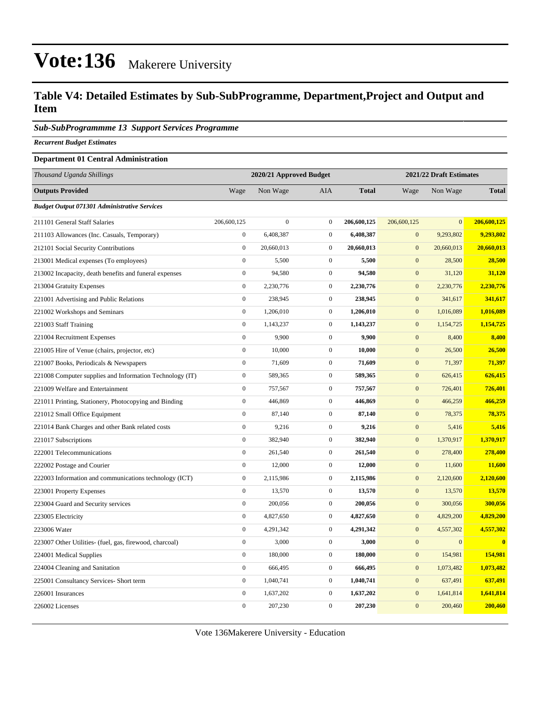#### **Table V4: Detailed Estimates by Sub-SubProgramme, Department,Project and Output and Item**

#### *Sub-SubProgrammme 13 Support Services Programme*

*Recurrent Budget Estimates*

#### **Department 01 Central Administration**

| <b>Outputs Provided</b><br>Wage<br>Non Wage<br>AIA<br><b>Total</b><br>Non Wage<br><b>Total</b><br>Wage<br><b>Budget Output 071301 Administrative Services</b><br>$\overline{0}$<br>$\overline{0}$<br>206,600,125<br>211101 General Staff Salaries<br>206,600,125<br>$\boldsymbol{0}$<br>206,600,125<br>206,600,125<br>9,293,802<br>$\overline{0}$<br>6,408,387<br>$\mathbf{0}$<br>6,408,387<br>$\mathbf{0}$<br>9,293,802<br>211103 Allowances (Inc. Casuals, Temporary)<br>$\boldsymbol{0}$<br>$\mathbf{0}$<br>$\mathbf{0}$<br>20,660,013<br>20,660,013<br>20,660,013<br>20,660,013<br>212101 Social Security Contributions<br>$\boldsymbol{0}$<br>$\boldsymbol{0}$<br>213001 Medical expenses (To employees)<br>5,500<br>5,500<br>$\boldsymbol{0}$<br>28,500<br>28,500<br>$\boldsymbol{0}$<br>94,580<br>$\mathbf{0}$<br>94,580<br>$\mathbf{0}$<br>31,120<br>213002 Incapacity, death benefits and funeral expenses<br>31,120<br>$\boldsymbol{0}$<br>2,230,776<br>$\boldsymbol{0}$<br>2,230,776<br>$\mathbf{0}$<br>2,230,776<br>2,230,776<br>213004 Gratuity Expenses<br>$\overline{0}$<br>238,945<br>$\mathbf{0}$<br>238,945<br>$\mathbf{0}$<br>221001 Advertising and Public Relations<br>341,617<br>341,617<br>$\boldsymbol{0}$<br>1,206,010<br>$\boldsymbol{0}$<br>1,206,010<br>$\boldsymbol{0}$<br>1,016,089<br>1,016,089<br>221002 Workshops and Seminars<br>$\boldsymbol{0}$<br>$\mathbf{0}$<br>1,143,237<br>$\mathbf{0}$<br>1,143,237<br>1,154,725<br>1,154,725<br>221003 Staff Training<br>221004 Recruitment Expenses<br>$\boldsymbol{0}$<br>9,900<br>$\boldsymbol{0}$<br>9,900<br>$\mathbf{0}$<br>8,400<br>8,400<br>$\boldsymbol{0}$<br>10,000<br>$\mathbf{0}$<br>$\mathbf{0}$<br>26,500<br>221005 Hire of Venue (chairs, projector, etc)<br>10,000<br>26,500<br>$\boldsymbol{0}$<br>71,609<br>$\boldsymbol{0}$<br>71,609<br>$\boldsymbol{0}$<br>71,397<br>71,397<br>221007 Books, Periodicals & Newspapers<br>$\boldsymbol{0}$<br>$\mathbf{0}$<br>589,365<br>$\mathbf{0}$<br>589,365<br>626,415<br>626,415<br>221008 Computer supplies and Information Technology (IT)<br>$\boldsymbol{0}$<br>$\mathbf 0$<br>757,567<br>757,567<br>$\mathbf{0}$<br>726,401<br>726,401<br>221009 Welfare and Entertainment<br>$\overline{0}$<br>$\mathbf 0$<br>$\mathbf{0}$<br>221011 Printing, Stationery, Photocopying and Binding<br>446,869<br>446,869<br>466,259<br>466,259<br>$\boldsymbol{0}$<br>87,140<br>$\mathbf{0}$<br>87,140<br>$\mathbf{0}$<br>78,375<br>78,375<br>221012 Small Office Equipment<br>$\boldsymbol{0}$<br>9,216<br>$\mathbf{0}$<br>9,216<br>$\mathbf{0}$<br>221014 Bank Charges and other Bank related costs<br>5,416<br>5,416<br>$\boldsymbol{0}$<br>382,940<br>$\mathbf{0}$<br>382,940<br>$\mathbf{0}$<br>1,370,917<br>1,370,917<br>221017 Subscriptions<br>$\mathbf{0}$<br>$\boldsymbol{0}$<br>222001 Telecommunications<br>261,540<br>261,540<br>$\mathbf{0}$<br>278,400<br>278,400<br>$\overline{0}$<br>$\overline{0}$<br>$\boldsymbol{0}$<br>12,000<br>12,000<br>11,600<br>11,600<br>222002 Postage and Courier<br>$\boldsymbol{0}$<br>2,115,986<br>$\boldsymbol{0}$<br>2,115,986<br>$\boldsymbol{0}$<br>2,120,600<br>222003 Information and communications technology (ICT)<br>2,120,600<br>$\boldsymbol{0}$<br>$\mathbf 0$<br>13,570<br>13,570<br>$\mathbf{0}$<br>13,570<br>13,570<br>223001 Property Expenses<br>$\boldsymbol{0}$<br>200,056<br>$\mathbf{0}$<br>200,056<br>$\mathbf{0}$<br>300,056<br>300,056<br>223004 Guard and Security services<br>$\overline{0}$<br>$\overline{0}$<br>$\overline{0}$<br>4,829,200<br>4,827,650<br>4,827,650<br>4,829,200<br>223005 Electricity<br>$\boldsymbol{0}$<br>4,291,342<br>$\boldsymbol{0}$<br>4,291,342<br>$\boldsymbol{0}$<br>4,557,302<br>4,557,302<br>223006 Water<br>$\boldsymbol{0}$<br>3,000<br>$\mathbf{0}$<br>3,000<br>$\mathbf{0}$<br>$\overline{0}$<br>$\bf{0}$<br>223007 Other Utilities- (fuel, gas, firewood, charcoal)<br>$\boldsymbol{0}$<br>180,000<br>$\mathbf 0$<br>180,000<br>154,981<br>$\mathbf{0}$<br>154,981<br>224001 Medical Supplies<br>$\overline{0}$<br>$\overline{0}$<br>$\mathbf{0}$<br>666,495<br>666,495<br>1,073,482<br>1,073,482<br>224004 Cleaning and Sanitation<br>$\boldsymbol{0}$<br>1,040,741<br>$\mathbf{0}$<br>1,040,741<br>$\boldsymbol{0}$<br>637,491<br>637,491<br>225001 Consultancy Services- Short term<br>$\boldsymbol{0}$<br>1,637,202<br>$\boldsymbol{0}$<br>1,637,202<br>$\mathbf{0}$<br>1,641,814<br>1,641,814<br>226001 Insurances<br>$\overline{0}$<br>207,230<br>$\overline{0}$<br>226002 Licenses<br>$\overline{0}$<br>207,230<br>200,460<br>200,460 | Thousand Uganda Shillings | 2020/21 Approved Budget |  | 2021/22 Draft Estimates |  |  |
|--------------------------------------------------------------------------------------------------------------------------------------------------------------------------------------------------------------------------------------------------------------------------------------------------------------------------------------------------------------------------------------------------------------------------------------------------------------------------------------------------------------------------------------------------------------------------------------------------------------------------------------------------------------------------------------------------------------------------------------------------------------------------------------------------------------------------------------------------------------------------------------------------------------------------------------------------------------------------------------------------------------------------------------------------------------------------------------------------------------------------------------------------------------------------------------------------------------------------------------------------------------------------------------------------------------------------------------------------------------------------------------------------------------------------------------------------------------------------------------------------------------------------------------------------------------------------------------------------------------------------------------------------------------------------------------------------------------------------------------------------------------------------------------------------------------------------------------------------------------------------------------------------------------------------------------------------------------------------------------------------------------------------------------------------------------------------------------------------------------------------------------------------------------------------------------------------------------------------------------------------------------------------------------------------------------------------------------------------------------------------------------------------------------------------------------------------------------------------------------------------------------------------------------------------------------------------------------------------------------------------------------------------------------------------------------------------------------------------------------------------------------------------------------------------------------------------------------------------------------------------------------------------------------------------------------------------------------------------------------------------------------------------------------------------------------------------------------------------------------------------------------------------------------------------------------------------------------------------------------------------------------------------------------------------------------------------------------------------------------------------------------------------------------------------------------------------------------------------------------------------------------------------------------------------------------------------------------------------------------------------------------------------------------------------------------------------------------------------------------------------------------------------------------------------------------------------------------------------------------------------------------------------------------------------------------------------------------------------------------------------------------------------------------------------------------------------------------------------------------------------------------------------------------------------------------------------------------------------------------------------------------------------------------------------------------------------------------------------------------------------------------------------------------------------------------------------------------------------------------------------------------------------------------------------------------------------------------------|---------------------------|-------------------------|--|-------------------------|--|--|
|                                                                                                                                                                                                                                                                                                                                                                                                                                                                                                                                                                                                                                                                                                                                                                                                                                                                                                                                                                                                                                                                                                                                                                                                                                                                                                                                                                                                                                                                                                                                                                                                                                                                                                                                                                                                                                                                                                                                                                                                                                                                                                                                                                                                                                                                                                                                                                                                                                                                                                                                                                                                                                                                                                                                                                                                                                                                                                                                                                                                                                                                                                                                                                                                                                                                                                                                                                                                                                                                                                                                                                                                                                                                                                                                                                                                                                                                                                                                                                                                                                                                                                                                                                                                                                                                                                                                                                                                                                                                                                                                                                                            |                           |                         |  |                         |  |  |
|                                                                                                                                                                                                                                                                                                                                                                                                                                                                                                                                                                                                                                                                                                                                                                                                                                                                                                                                                                                                                                                                                                                                                                                                                                                                                                                                                                                                                                                                                                                                                                                                                                                                                                                                                                                                                                                                                                                                                                                                                                                                                                                                                                                                                                                                                                                                                                                                                                                                                                                                                                                                                                                                                                                                                                                                                                                                                                                                                                                                                                                                                                                                                                                                                                                                                                                                                                                                                                                                                                                                                                                                                                                                                                                                                                                                                                                                                                                                                                                                                                                                                                                                                                                                                                                                                                                                                                                                                                                                                                                                                                                            |                           |                         |  |                         |  |  |
|                                                                                                                                                                                                                                                                                                                                                                                                                                                                                                                                                                                                                                                                                                                                                                                                                                                                                                                                                                                                                                                                                                                                                                                                                                                                                                                                                                                                                                                                                                                                                                                                                                                                                                                                                                                                                                                                                                                                                                                                                                                                                                                                                                                                                                                                                                                                                                                                                                                                                                                                                                                                                                                                                                                                                                                                                                                                                                                                                                                                                                                                                                                                                                                                                                                                                                                                                                                                                                                                                                                                                                                                                                                                                                                                                                                                                                                                                                                                                                                                                                                                                                                                                                                                                                                                                                                                                                                                                                                                                                                                                                                            |                           |                         |  |                         |  |  |
|                                                                                                                                                                                                                                                                                                                                                                                                                                                                                                                                                                                                                                                                                                                                                                                                                                                                                                                                                                                                                                                                                                                                                                                                                                                                                                                                                                                                                                                                                                                                                                                                                                                                                                                                                                                                                                                                                                                                                                                                                                                                                                                                                                                                                                                                                                                                                                                                                                                                                                                                                                                                                                                                                                                                                                                                                                                                                                                                                                                                                                                                                                                                                                                                                                                                                                                                                                                                                                                                                                                                                                                                                                                                                                                                                                                                                                                                                                                                                                                                                                                                                                                                                                                                                                                                                                                                                                                                                                                                                                                                                                                            |                           |                         |  |                         |  |  |
|                                                                                                                                                                                                                                                                                                                                                                                                                                                                                                                                                                                                                                                                                                                                                                                                                                                                                                                                                                                                                                                                                                                                                                                                                                                                                                                                                                                                                                                                                                                                                                                                                                                                                                                                                                                                                                                                                                                                                                                                                                                                                                                                                                                                                                                                                                                                                                                                                                                                                                                                                                                                                                                                                                                                                                                                                                                                                                                                                                                                                                                                                                                                                                                                                                                                                                                                                                                                                                                                                                                                                                                                                                                                                                                                                                                                                                                                                                                                                                                                                                                                                                                                                                                                                                                                                                                                                                                                                                                                                                                                                                                            |                           |                         |  |                         |  |  |
|                                                                                                                                                                                                                                                                                                                                                                                                                                                                                                                                                                                                                                                                                                                                                                                                                                                                                                                                                                                                                                                                                                                                                                                                                                                                                                                                                                                                                                                                                                                                                                                                                                                                                                                                                                                                                                                                                                                                                                                                                                                                                                                                                                                                                                                                                                                                                                                                                                                                                                                                                                                                                                                                                                                                                                                                                                                                                                                                                                                                                                                                                                                                                                                                                                                                                                                                                                                                                                                                                                                                                                                                                                                                                                                                                                                                                                                                                                                                                                                                                                                                                                                                                                                                                                                                                                                                                                                                                                                                                                                                                                                            |                           |                         |  |                         |  |  |
|                                                                                                                                                                                                                                                                                                                                                                                                                                                                                                                                                                                                                                                                                                                                                                                                                                                                                                                                                                                                                                                                                                                                                                                                                                                                                                                                                                                                                                                                                                                                                                                                                                                                                                                                                                                                                                                                                                                                                                                                                                                                                                                                                                                                                                                                                                                                                                                                                                                                                                                                                                                                                                                                                                                                                                                                                                                                                                                                                                                                                                                                                                                                                                                                                                                                                                                                                                                                                                                                                                                                                                                                                                                                                                                                                                                                                                                                                                                                                                                                                                                                                                                                                                                                                                                                                                                                                                                                                                                                                                                                                                                            |                           |                         |  |                         |  |  |
|                                                                                                                                                                                                                                                                                                                                                                                                                                                                                                                                                                                                                                                                                                                                                                                                                                                                                                                                                                                                                                                                                                                                                                                                                                                                                                                                                                                                                                                                                                                                                                                                                                                                                                                                                                                                                                                                                                                                                                                                                                                                                                                                                                                                                                                                                                                                                                                                                                                                                                                                                                                                                                                                                                                                                                                                                                                                                                                                                                                                                                                                                                                                                                                                                                                                                                                                                                                                                                                                                                                                                                                                                                                                                                                                                                                                                                                                                                                                                                                                                                                                                                                                                                                                                                                                                                                                                                                                                                                                                                                                                                                            |                           |                         |  |                         |  |  |
|                                                                                                                                                                                                                                                                                                                                                                                                                                                                                                                                                                                                                                                                                                                                                                                                                                                                                                                                                                                                                                                                                                                                                                                                                                                                                                                                                                                                                                                                                                                                                                                                                                                                                                                                                                                                                                                                                                                                                                                                                                                                                                                                                                                                                                                                                                                                                                                                                                                                                                                                                                                                                                                                                                                                                                                                                                                                                                                                                                                                                                                                                                                                                                                                                                                                                                                                                                                                                                                                                                                                                                                                                                                                                                                                                                                                                                                                                                                                                                                                                                                                                                                                                                                                                                                                                                                                                                                                                                                                                                                                                                                            |                           |                         |  |                         |  |  |
|                                                                                                                                                                                                                                                                                                                                                                                                                                                                                                                                                                                                                                                                                                                                                                                                                                                                                                                                                                                                                                                                                                                                                                                                                                                                                                                                                                                                                                                                                                                                                                                                                                                                                                                                                                                                                                                                                                                                                                                                                                                                                                                                                                                                                                                                                                                                                                                                                                                                                                                                                                                                                                                                                                                                                                                                                                                                                                                                                                                                                                                                                                                                                                                                                                                                                                                                                                                                                                                                                                                                                                                                                                                                                                                                                                                                                                                                                                                                                                                                                                                                                                                                                                                                                                                                                                                                                                                                                                                                                                                                                                                            |                           |                         |  |                         |  |  |
|                                                                                                                                                                                                                                                                                                                                                                                                                                                                                                                                                                                                                                                                                                                                                                                                                                                                                                                                                                                                                                                                                                                                                                                                                                                                                                                                                                                                                                                                                                                                                                                                                                                                                                                                                                                                                                                                                                                                                                                                                                                                                                                                                                                                                                                                                                                                                                                                                                                                                                                                                                                                                                                                                                                                                                                                                                                                                                                                                                                                                                                                                                                                                                                                                                                                                                                                                                                                                                                                                                                                                                                                                                                                                                                                                                                                                                                                                                                                                                                                                                                                                                                                                                                                                                                                                                                                                                                                                                                                                                                                                                                            |                           |                         |  |                         |  |  |
|                                                                                                                                                                                                                                                                                                                                                                                                                                                                                                                                                                                                                                                                                                                                                                                                                                                                                                                                                                                                                                                                                                                                                                                                                                                                                                                                                                                                                                                                                                                                                                                                                                                                                                                                                                                                                                                                                                                                                                                                                                                                                                                                                                                                                                                                                                                                                                                                                                                                                                                                                                                                                                                                                                                                                                                                                                                                                                                                                                                                                                                                                                                                                                                                                                                                                                                                                                                                                                                                                                                                                                                                                                                                                                                                                                                                                                                                                                                                                                                                                                                                                                                                                                                                                                                                                                                                                                                                                                                                                                                                                                                            |                           |                         |  |                         |  |  |
|                                                                                                                                                                                                                                                                                                                                                                                                                                                                                                                                                                                                                                                                                                                                                                                                                                                                                                                                                                                                                                                                                                                                                                                                                                                                                                                                                                                                                                                                                                                                                                                                                                                                                                                                                                                                                                                                                                                                                                                                                                                                                                                                                                                                                                                                                                                                                                                                                                                                                                                                                                                                                                                                                                                                                                                                                                                                                                                                                                                                                                                                                                                                                                                                                                                                                                                                                                                                                                                                                                                                                                                                                                                                                                                                                                                                                                                                                                                                                                                                                                                                                                                                                                                                                                                                                                                                                                                                                                                                                                                                                                                            |                           |                         |  |                         |  |  |
|                                                                                                                                                                                                                                                                                                                                                                                                                                                                                                                                                                                                                                                                                                                                                                                                                                                                                                                                                                                                                                                                                                                                                                                                                                                                                                                                                                                                                                                                                                                                                                                                                                                                                                                                                                                                                                                                                                                                                                                                                                                                                                                                                                                                                                                                                                                                                                                                                                                                                                                                                                                                                                                                                                                                                                                                                                                                                                                                                                                                                                                                                                                                                                                                                                                                                                                                                                                                                                                                                                                                                                                                                                                                                                                                                                                                                                                                                                                                                                                                                                                                                                                                                                                                                                                                                                                                                                                                                                                                                                                                                                                            |                           |                         |  |                         |  |  |
|                                                                                                                                                                                                                                                                                                                                                                                                                                                                                                                                                                                                                                                                                                                                                                                                                                                                                                                                                                                                                                                                                                                                                                                                                                                                                                                                                                                                                                                                                                                                                                                                                                                                                                                                                                                                                                                                                                                                                                                                                                                                                                                                                                                                                                                                                                                                                                                                                                                                                                                                                                                                                                                                                                                                                                                                                                                                                                                                                                                                                                                                                                                                                                                                                                                                                                                                                                                                                                                                                                                                                                                                                                                                                                                                                                                                                                                                                                                                                                                                                                                                                                                                                                                                                                                                                                                                                                                                                                                                                                                                                                                            |                           |                         |  |                         |  |  |
|                                                                                                                                                                                                                                                                                                                                                                                                                                                                                                                                                                                                                                                                                                                                                                                                                                                                                                                                                                                                                                                                                                                                                                                                                                                                                                                                                                                                                                                                                                                                                                                                                                                                                                                                                                                                                                                                                                                                                                                                                                                                                                                                                                                                                                                                                                                                                                                                                                                                                                                                                                                                                                                                                                                                                                                                                                                                                                                                                                                                                                                                                                                                                                                                                                                                                                                                                                                                                                                                                                                                                                                                                                                                                                                                                                                                                                                                                                                                                                                                                                                                                                                                                                                                                                                                                                                                                                                                                                                                                                                                                                                            |                           |                         |  |                         |  |  |
|                                                                                                                                                                                                                                                                                                                                                                                                                                                                                                                                                                                                                                                                                                                                                                                                                                                                                                                                                                                                                                                                                                                                                                                                                                                                                                                                                                                                                                                                                                                                                                                                                                                                                                                                                                                                                                                                                                                                                                                                                                                                                                                                                                                                                                                                                                                                                                                                                                                                                                                                                                                                                                                                                                                                                                                                                                                                                                                                                                                                                                                                                                                                                                                                                                                                                                                                                                                                                                                                                                                                                                                                                                                                                                                                                                                                                                                                                                                                                                                                                                                                                                                                                                                                                                                                                                                                                                                                                                                                                                                                                                                            |                           |                         |  |                         |  |  |
|                                                                                                                                                                                                                                                                                                                                                                                                                                                                                                                                                                                                                                                                                                                                                                                                                                                                                                                                                                                                                                                                                                                                                                                                                                                                                                                                                                                                                                                                                                                                                                                                                                                                                                                                                                                                                                                                                                                                                                                                                                                                                                                                                                                                                                                                                                                                                                                                                                                                                                                                                                                                                                                                                                                                                                                                                                                                                                                                                                                                                                                                                                                                                                                                                                                                                                                                                                                                                                                                                                                                                                                                                                                                                                                                                                                                                                                                                                                                                                                                                                                                                                                                                                                                                                                                                                                                                                                                                                                                                                                                                                                            |                           |                         |  |                         |  |  |
|                                                                                                                                                                                                                                                                                                                                                                                                                                                                                                                                                                                                                                                                                                                                                                                                                                                                                                                                                                                                                                                                                                                                                                                                                                                                                                                                                                                                                                                                                                                                                                                                                                                                                                                                                                                                                                                                                                                                                                                                                                                                                                                                                                                                                                                                                                                                                                                                                                                                                                                                                                                                                                                                                                                                                                                                                                                                                                                                                                                                                                                                                                                                                                                                                                                                                                                                                                                                                                                                                                                                                                                                                                                                                                                                                                                                                                                                                                                                                                                                                                                                                                                                                                                                                                                                                                                                                                                                                                                                                                                                                                                            |                           |                         |  |                         |  |  |
|                                                                                                                                                                                                                                                                                                                                                                                                                                                                                                                                                                                                                                                                                                                                                                                                                                                                                                                                                                                                                                                                                                                                                                                                                                                                                                                                                                                                                                                                                                                                                                                                                                                                                                                                                                                                                                                                                                                                                                                                                                                                                                                                                                                                                                                                                                                                                                                                                                                                                                                                                                                                                                                                                                                                                                                                                                                                                                                                                                                                                                                                                                                                                                                                                                                                                                                                                                                                                                                                                                                                                                                                                                                                                                                                                                                                                                                                                                                                                                                                                                                                                                                                                                                                                                                                                                                                                                                                                                                                                                                                                                                            |                           |                         |  |                         |  |  |
|                                                                                                                                                                                                                                                                                                                                                                                                                                                                                                                                                                                                                                                                                                                                                                                                                                                                                                                                                                                                                                                                                                                                                                                                                                                                                                                                                                                                                                                                                                                                                                                                                                                                                                                                                                                                                                                                                                                                                                                                                                                                                                                                                                                                                                                                                                                                                                                                                                                                                                                                                                                                                                                                                                                                                                                                                                                                                                                                                                                                                                                                                                                                                                                                                                                                                                                                                                                                                                                                                                                                                                                                                                                                                                                                                                                                                                                                                                                                                                                                                                                                                                                                                                                                                                                                                                                                                                                                                                                                                                                                                                                            |                           |                         |  |                         |  |  |
|                                                                                                                                                                                                                                                                                                                                                                                                                                                                                                                                                                                                                                                                                                                                                                                                                                                                                                                                                                                                                                                                                                                                                                                                                                                                                                                                                                                                                                                                                                                                                                                                                                                                                                                                                                                                                                                                                                                                                                                                                                                                                                                                                                                                                                                                                                                                                                                                                                                                                                                                                                                                                                                                                                                                                                                                                                                                                                                                                                                                                                                                                                                                                                                                                                                                                                                                                                                                                                                                                                                                                                                                                                                                                                                                                                                                                                                                                                                                                                                                                                                                                                                                                                                                                                                                                                                                                                                                                                                                                                                                                                                            |                           |                         |  |                         |  |  |
|                                                                                                                                                                                                                                                                                                                                                                                                                                                                                                                                                                                                                                                                                                                                                                                                                                                                                                                                                                                                                                                                                                                                                                                                                                                                                                                                                                                                                                                                                                                                                                                                                                                                                                                                                                                                                                                                                                                                                                                                                                                                                                                                                                                                                                                                                                                                                                                                                                                                                                                                                                                                                                                                                                                                                                                                                                                                                                                                                                                                                                                                                                                                                                                                                                                                                                                                                                                                                                                                                                                                                                                                                                                                                                                                                                                                                                                                                                                                                                                                                                                                                                                                                                                                                                                                                                                                                                                                                                                                                                                                                                                            |                           |                         |  |                         |  |  |
|                                                                                                                                                                                                                                                                                                                                                                                                                                                                                                                                                                                                                                                                                                                                                                                                                                                                                                                                                                                                                                                                                                                                                                                                                                                                                                                                                                                                                                                                                                                                                                                                                                                                                                                                                                                                                                                                                                                                                                                                                                                                                                                                                                                                                                                                                                                                                                                                                                                                                                                                                                                                                                                                                                                                                                                                                                                                                                                                                                                                                                                                                                                                                                                                                                                                                                                                                                                                                                                                                                                                                                                                                                                                                                                                                                                                                                                                                                                                                                                                                                                                                                                                                                                                                                                                                                                                                                                                                                                                                                                                                                                            |                           |                         |  |                         |  |  |
|                                                                                                                                                                                                                                                                                                                                                                                                                                                                                                                                                                                                                                                                                                                                                                                                                                                                                                                                                                                                                                                                                                                                                                                                                                                                                                                                                                                                                                                                                                                                                                                                                                                                                                                                                                                                                                                                                                                                                                                                                                                                                                                                                                                                                                                                                                                                                                                                                                                                                                                                                                                                                                                                                                                                                                                                                                                                                                                                                                                                                                                                                                                                                                                                                                                                                                                                                                                                                                                                                                                                                                                                                                                                                                                                                                                                                                                                                                                                                                                                                                                                                                                                                                                                                                                                                                                                                                                                                                                                                                                                                                                            |                           |                         |  |                         |  |  |
|                                                                                                                                                                                                                                                                                                                                                                                                                                                                                                                                                                                                                                                                                                                                                                                                                                                                                                                                                                                                                                                                                                                                                                                                                                                                                                                                                                                                                                                                                                                                                                                                                                                                                                                                                                                                                                                                                                                                                                                                                                                                                                                                                                                                                                                                                                                                                                                                                                                                                                                                                                                                                                                                                                                                                                                                                                                                                                                                                                                                                                                                                                                                                                                                                                                                                                                                                                                                                                                                                                                                                                                                                                                                                                                                                                                                                                                                                                                                                                                                                                                                                                                                                                                                                                                                                                                                                                                                                                                                                                                                                                                            |                           |                         |  |                         |  |  |
|                                                                                                                                                                                                                                                                                                                                                                                                                                                                                                                                                                                                                                                                                                                                                                                                                                                                                                                                                                                                                                                                                                                                                                                                                                                                                                                                                                                                                                                                                                                                                                                                                                                                                                                                                                                                                                                                                                                                                                                                                                                                                                                                                                                                                                                                                                                                                                                                                                                                                                                                                                                                                                                                                                                                                                                                                                                                                                                                                                                                                                                                                                                                                                                                                                                                                                                                                                                                                                                                                                                                                                                                                                                                                                                                                                                                                                                                                                                                                                                                                                                                                                                                                                                                                                                                                                                                                                                                                                                                                                                                                                                            |                           |                         |  |                         |  |  |
|                                                                                                                                                                                                                                                                                                                                                                                                                                                                                                                                                                                                                                                                                                                                                                                                                                                                                                                                                                                                                                                                                                                                                                                                                                                                                                                                                                                                                                                                                                                                                                                                                                                                                                                                                                                                                                                                                                                                                                                                                                                                                                                                                                                                                                                                                                                                                                                                                                                                                                                                                                                                                                                                                                                                                                                                                                                                                                                                                                                                                                                                                                                                                                                                                                                                                                                                                                                                                                                                                                                                                                                                                                                                                                                                                                                                                                                                                                                                                                                                                                                                                                                                                                                                                                                                                                                                                                                                                                                                                                                                                                                            |                           |                         |  |                         |  |  |
|                                                                                                                                                                                                                                                                                                                                                                                                                                                                                                                                                                                                                                                                                                                                                                                                                                                                                                                                                                                                                                                                                                                                                                                                                                                                                                                                                                                                                                                                                                                                                                                                                                                                                                                                                                                                                                                                                                                                                                                                                                                                                                                                                                                                                                                                                                                                                                                                                                                                                                                                                                                                                                                                                                                                                                                                                                                                                                                                                                                                                                                                                                                                                                                                                                                                                                                                                                                                                                                                                                                                                                                                                                                                                                                                                                                                                                                                                                                                                                                                                                                                                                                                                                                                                                                                                                                                                                                                                                                                                                                                                                                            |                           |                         |  |                         |  |  |
|                                                                                                                                                                                                                                                                                                                                                                                                                                                                                                                                                                                                                                                                                                                                                                                                                                                                                                                                                                                                                                                                                                                                                                                                                                                                                                                                                                                                                                                                                                                                                                                                                                                                                                                                                                                                                                                                                                                                                                                                                                                                                                                                                                                                                                                                                                                                                                                                                                                                                                                                                                                                                                                                                                                                                                                                                                                                                                                                                                                                                                                                                                                                                                                                                                                                                                                                                                                                                                                                                                                                                                                                                                                                                                                                                                                                                                                                                                                                                                                                                                                                                                                                                                                                                                                                                                                                                                                                                                                                                                                                                                                            |                           |                         |  |                         |  |  |
|                                                                                                                                                                                                                                                                                                                                                                                                                                                                                                                                                                                                                                                                                                                                                                                                                                                                                                                                                                                                                                                                                                                                                                                                                                                                                                                                                                                                                                                                                                                                                                                                                                                                                                                                                                                                                                                                                                                                                                                                                                                                                                                                                                                                                                                                                                                                                                                                                                                                                                                                                                                                                                                                                                                                                                                                                                                                                                                                                                                                                                                                                                                                                                                                                                                                                                                                                                                                                                                                                                                                                                                                                                                                                                                                                                                                                                                                                                                                                                                                                                                                                                                                                                                                                                                                                                                                                                                                                                                                                                                                                                                            |                           |                         |  |                         |  |  |
|                                                                                                                                                                                                                                                                                                                                                                                                                                                                                                                                                                                                                                                                                                                                                                                                                                                                                                                                                                                                                                                                                                                                                                                                                                                                                                                                                                                                                                                                                                                                                                                                                                                                                                                                                                                                                                                                                                                                                                                                                                                                                                                                                                                                                                                                                                                                                                                                                                                                                                                                                                                                                                                                                                                                                                                                                                                                                                                                                                                                                                                                                                                                                                                                                                                                                                                                                                                                                                                                                                                                                                                                                                                                                                                                                                                                                                                                                                                                                                                                                                                                                                                                                                                                                                                                                                                                                                                                                                                                                                                                                                                            |                           |                         |  |                         |  |  |
|                                                                                                                                                                                                                                                                                                                                                                                                                                                                                                                                                                                                                                                                                                                                                                                                                                                                                                                                                                                                                                                                                                                                                                                                                                                                                                                                                                                                                                                                                                                                                                                                                                                                                                                                                                                                                                                                                                                                                                                                                                                                                                                                                                                                                                                                                                                                                                                                                                                                                                                                                                                                                                                                                                                                                                                                                                                                                                                                                                                                                                                                                                                                                                                                                                                                                                                                                                                                                                                                                                                                                                                                                                                                                                                                                                                                                                                                                                                                                                                                                                                                                                                                                                                                                                                                                                                                                                                                                                                                                                                                                                                            |                           |                         |  |                         |  |  |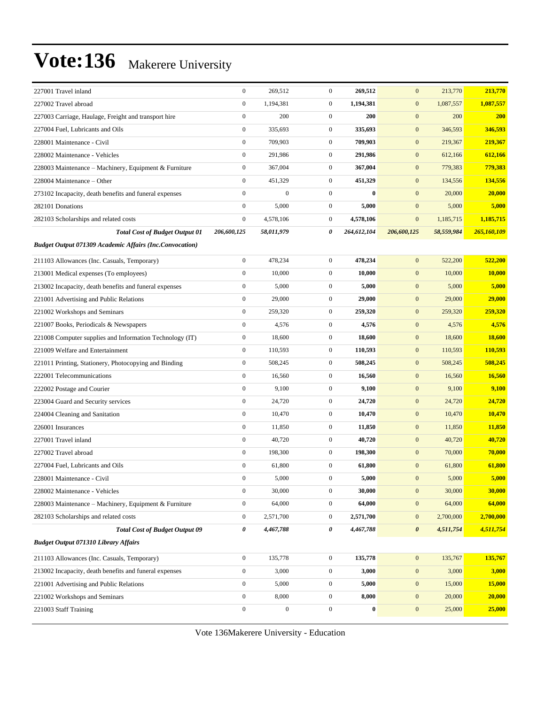| 227001 Travel inland                                           | $\boldsymbol{0}$ | 269,512          | $\mathbf{0}$     | 269,512     | $\mathbf{0}$          | 213,770    | 213,770     |
|----------------------------------------------------------------|------------------|------------------|------------------|-------------|-----------------------|------------|-------------|
| 227002 Travel abroad                                           | $\boldsymbol{0}$ | 1,194,381        | $\mathbf{0}$     | 1,194,381   | $\mathbf{0}$          | 1,087,557  | 1,087,557   |
| 227003 Carriage, Haulage, Freight and transport hire           | $\boldsymbol{0}$ | 200              | $\mathbf{0}$     | 200         | $\boldsymbol{0}$      | 200        | 200         |
| 227004 Fuel, Lubricants and Oils                               | $\boldsymbol{0}$ | 335,693          | $\mathbf{0}$     | 335,693     | $\boldsymbol{0}$      | 346,593    | 346,593     |
| 228001 Maintenance - Civil                                     | $\boldsymbol{0}$ | 709,903          | $\mathbf{0}$     | 709,903     | $\mathbf{0}$          | 219,367    | 219,367     |
| 228002 Maintenance - Vehicles                                  | $\boldsymbol{0}$ | 291,986          | $\mathbf{0}$     | 291,986     | $\mathbf{0}$          | 612,166    | 612,166     |
| 228003 Maintenance - Machinery, Equipment & Furniture          | $\boldsymbol{0}$ | 367,004          | $\mathbf{0}$     | 367,004     | $\mathbf{0}$          | 779,383    | 779,383     |
| 228004 Maintenance – Other                                     | $\boldsymbol{0}$ | 451,329          | $\mathbf{0}$     | 451,329     | $\mathbf{0}$          | 134,556    | 134,556     |
| 273102 Incapacity, death benefits and funeral expenses         | $\boldsymbol{0}$ | $\boldsymbol{0}$ | $\mathbf{0}$     | $\bf{0}$    | $\mathbf{0}$          | 20,000     | 20,000      |
| 282101 Donations                                               | $\boldsymbol{0}$ | 5,000            | $\mathbf{0}$     | 5,000       | $\boldsymbol{0}$      | 5,000      | 5,000       |
| 282103 Scholarships and related costs                          | $\boldsymbol{0}$ | 4,578,106        | $\mathbf{0}$     | 4,578,106   | $\boldsymbol{0}$      | 1,185,715  | 1,185,715   |
| <b>Total Cost of Budget Output 01</b>                          | 206,600,125      | 58,011,979       | 0                | 264,612,104 | 206,600,125           | 58,559,984 | 265,160,109 |
| <b>Budget Output 071309 Academic Affairs (Inc.Convocation)</b> |                  |                  |                  |             |                       |            |             |
| 211103 Allowances (Inc. Casuals, Temporary)                    | $\boldsymbol{0}$ | 478,234          | $\boldsymbol{0}$ | 478.234     | $\mathbf{0}$          | 522,200    | 522,200     |
| 213001 Medical expenses (To employees)                         | $\boldsymbol{0}$ | 10,000           | $\mathbf{0}$     | 10,000      | $\boldsymbol{0}$      | 10,000     | 10,000      |
| 213002 Incapacity, death benefits and funeral expenses         | $\boldsymbol{0}$ | 5,000            | $\mathbf{0}$     | 5,000       | $\boldsymbol{0}$      | 5,000      | 5,000       |
| 221001 Advertising and Public Relations                        | $\boldsymbol{0}$ | 29,000           | $\mathbf{0}$     | 29,000      | $\boldsymbol{0}$      | 29,000     | 29,000      |
| 221002 Workshops and Seminars                                  | $\boldsymbol{0}$ | 259,320          | $\mathbf{0}$     | 259,320     | $\mathbf{0}$          | 259,320    | 259,320     |
| 221007 Books, Periodicals & Newspapers                         | $\boldsymbol{0}$ | 4,576            | $\mathbf{0}$     | 4,576       | $\mathbf{0}$          | 4,576      | 4,576       |
| 221008 Computer supplies and Information Technology (IT)       | $\boldsymbol{0}$ | 18,600           | $\boldsymbol{0}$ | 18,600      | $\boldsymbol{0}$      | 18,600     | 18,600      |
| 221009 Welfare and Entertainment                               | $\boldsymbol{0}$ | 110,593          | $\mathbf{0}$     | 110,593     | $\boldsymbol{0}$      | 110,593    | 110,593     |
| 221011 Printing, Stationery, Photocopying and Binding          | $\boldsymbol{0}$ | 508,245          | $\mathbf{0}$     | 508,245     | $\mathbf{0}$          | 508,245    | 508,245     |
| 222001 Telecommunications                                      | $\boldsymbol{0}$ | 16,560           | $\mathbf{0}$     | 16,560      | $\mathbf{0}$          | 16,560     | 16,560      |
| 222002 Postage and Courier                                     | $\boldsymbol{0}$ | 9,100            | $\mathbf{0}$     | 9,100       | $\mathbf{0}$          | 9,100      | 9,100       |
| 223004 Guard and Security services                             | $\boldsymbol{0}$ | 24,720           | $\boldsymbol{0}$ | 24,720      | $\boldsymbol{0}$      | 24,720     | 24,720      |
| 224004 Cleaning and Sanitation                                 | $\boldsymbol{0}$ | 10,470           | $\mathbf{0}$     | 10,470      | $\boldsymbol{0}$      | 10,470     | 10,470      |
| 226001 Insurances                                              | $\boldsymbol{0}$ | 11,850           | $\mathbf{0}$     | 11,850      | $\boldsymbol{0}$      | 11,850     | 11,850      |
| 227001 Travel inland                                           | $\boldsymbol{0}$ | 40,720           | $\mathbf{0}$     | 40,720      | $\mathbf{0}$          | 40,720     | 40,720      |
| 227002 Travel abroad                                           | $\boldsymbol{0}$ | 198,300          | $\mathbf{0}$     | 198,300     | $\mathbf{0}$          | 70,000     | 70,000      |
| 227004 Fuel, Lubricants and Oils                               | $\boldsymbol{0}$ | 61,800           | $\mathbf{0}$     | 61,800      | $\boldsymbol{0}$      | 61,800     | 61,800      |
| 228001 Maintenance - Civil                                     | $\Omega$         | 5,000            | $\mathbf{0}$     | 5,000       | $\mathbf{0}$          | 5,000      | 5,000       |
| 228002 Maintenance - Vehicles                                  | $\boldsymbol{0}$ | 30,000           | $\boldsymbol{0}$ | 30,000      | $\boldsymbol{0}$      | 30,000     | 30,000      |
| 228003 Maintenance - Machinery, Equipment & Furniture          | $\boldsymbol{0}$ | 64,000           | $\boldsymbol{0}$ | 64,000      | $\boldsymbol{0}$      | 64,000     | 64,000      |
| 282103 Scholarships and related costs                          | $\boldsymbol{0}$ | 2,571,700        | $\boldsymbol{0}$ | 2,571,700   | $\boldsymbol{0}$      | 2,700,000  | 2,700,000   |
| <b>Total Cost of Budget Output 09</b>                          | 0                | 4,467,788        | 0                | 4,467,788   | $\boldsymbol{\theta}$ | 4,511,754  | 4,511,754   |
| <b>Budget Output 071310 Library Affairs</b>                    |                  |                  |                  |             |                       |            |             |
| 211103 Allowances (Inc. Casuals, Temporary)                    | $\boldsymbol{0}$ | 135,778          | $\boldsymbol{0}$ | 135,778     | $\boldsymbol{0}$      | 135,767    | 135,767     |
| 213002 Incapacity, death benefits and funeral expenses         | $\boldsymbol{0}$ | 3,000            | $\boldsymbol{0}$ | 3,000       | $\boldsymbol{0}$      | 3,000      | 3,000       |
| 221001 Advertising and Public Relations                        | $\boldsymbol{0}$ | 5,000            | $\boldsymbol{0}$ | 5,000       | $\boldsymbol{0}$      | 15,000     | 15,000      |
| 221002 Workshops and Seminars                                  | $\boldsymbol{0}$ | 8,000            | $\boldsymbol{0}$ | 8,000       | $\boldsymbol{0}$      | 20,000     | 20,000      |
| 221003 Staff Training                                          | $\boldsymbol{0}$ | $\boldsymbol{0}$ | $\boldsymbol{0}$ | $\bf{0}$    | $\boldsymbol{0}$      | 25,000     | 25,000      |
|                                                                |                  |                  |                  |             |                       |            |             |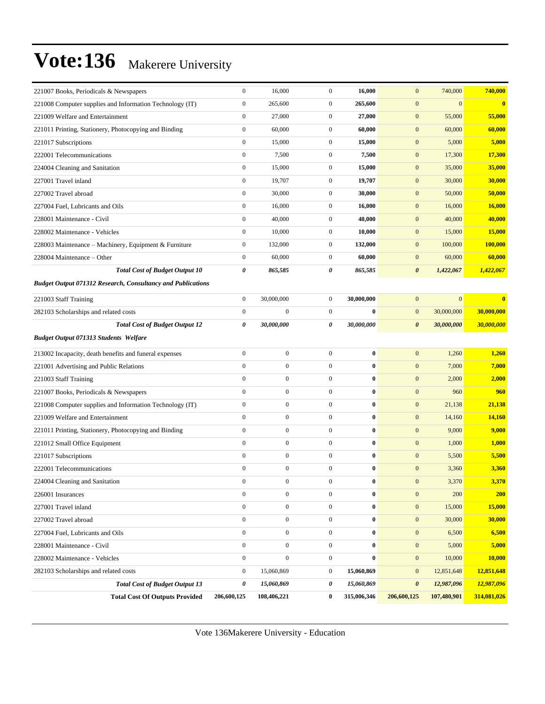| 221007 Books, Periodicals & Newspapers                             | $\boldsymbol{0}$ | 16,000           | $\boldsymbol{0}$ | 16,000      | $\mathbf{0}$<br>740,000             | 740,000        |
|--------------------------------------------------------------------|------------------|------------------|------------------|-------------|-------------------------------------|----------------|
| 221008 Computer supplies and Information Technology (IT)           | $\boldsymbol{0}$ | 265,600          | $\mathbf{0}$     | 265,600     | $\boldsymbol{0}$<br>$\overline{0}$  | $\bf{0}$       |
| 221009 Welfare and Entertainment                                   | $\boldsymbol{0}$ | 27,000           | $\mathbf{0}$     | 27,000      | $\boldsymbol{0}$<br>55,000          | 55,000         |
| 221011 Printing, Stationery, Photocopying and Binding              | $\boldsymbol{0}$ | 60,000           | $\mathbf{0}$     | 60,000      | $\mathbf{0}$<br>60,000              | 60,000         |
| 221017 Subscriptions                                               | $\boldsymbol{0}$ | 15,000           | $\mathbf{0}$     | 15,000      | $\mathbf{0}$<br>5,000               | 5,000          |
| 222001 Telecommunications                                          | $\boldsymbol{0}$ | 7,500            | $\mathbf{0}$     | 7,500       | $\mathbf{0}$<br>17,300              | 17,300         |
| 224004 Cleaning and Sanitation                                     | $\boldsymbol{0}$ | 15,000           | $\mathbf{0}$     | 15,000      | $\boldsymbol{0}$<br>35,000          | 35,000         |
| 227001 Travel inland                                               | $\boldsymbol{0}$ | 19,707           | $\mathbf{0}$     | 19,707      | $\boldsymbol{0}$<br>30,000          | 30,000         |
| 227002 Travel abroad                                               | $\boldsymbol{0}$ | 30,000           | $\mathbf{0}$     | 30,000      | $\mathbf{0}$<br>50,000              | 50,000         |
| 227004 Fuel, Lubricants and Oils                                   | $\boldsymbol{0}$ | 16,000           | $\mathbf{0}$     | 16,000      | $\mathbf{0}$<br>16,000              | 16,000         |
| 228001 Maintenance - Civil                                         | $\boldsymbol{0}$ | 40,000           | $\mathbf{0}$     | 40,000      | $\mathbf{0}$<br>40,000              | 40,000         |
| 228002 Maintenance - Vehicles                                      | $\boldsymbol{0}$ | 10,000           | $\mathbf{0}$     | 10,000      | $\boldsymbol{0}$<br>15,000          | 15,000         |
| 228003 Maintenance – Machinery, Equipment & Furniture              | $\boldsymbol{0}$ | 132,000          | $\mathbf{0}$     | 132,000     | $\mathbf{0}$<br>100,000             | <b>100,000</b> |
| 228004 Maintenance - Other                                         | $\boldsymbol{0}$ | 60,000           | $\mathbf{0}$     | 60,000      | $\mathbf{0}$<br>60,000              | 60,000         |
| <b>Total Cost of Budget Output 10</b>                              | 0                | 865,585          | 0                | 865,585     | $\pmb{\theta}$<br>1,422,067         | 1,422,067      |
| <b>Budget Output 071312 Research, Consultancy and Publications</b> |                  |                  |                  |             |                                     |                |
| 221003 Staff Training                                              | $\boldsymbol{0}$ | 30,000,000       | $\mathbf{0}$     | 30,000,000  | $\mathbf{0}$<br>$\overline{0}$      | $\bf{0}$       |
| 282103 Scholarships and related costs                              | $\boldsymbol{0}$ | $\mathbf{0}$     | $\mathbf{0}$     | $\bf{0}$    | $\boldsymbol{0}$<br>30,000,000      | 30,000,000     |
| <b>Total Cost of Budget Output 12</b>                              | 0                | 30,000,000       | 0                | 30,000,000  | 30,000,000<br>$\boldsymbol{\theta}$ | 30,000,000     |
| <b>Budget Output 071313 Students Welfare</b>                       |                  |                  |                  |             |                                     |                |
| 213002 Incapacity, death benefits and funeral expenses             | $\boldsymbol{0}$ | $\overline{0}$   | $\mathbf{0}$     | $\bf{0}$    | $\mathbf{0}$<br>1,260               | 1,260          |
| 221001 Advertising and Public Relations                            | $\boldsymbol{0}$ | $\overline{0}$   | $\mathbf{0}$     | $\bf{0}$    | $\mathbf{0}$<br>7,000               | 7,000          |
| 221003 Staff Training                                              | $\boldsymbol{0}$ | $\boldsymbol{0}$ | $\mathbf{0}$     | $\bf{0}$    | $\mathbf{0}$<br>2,000               | 2,000          |
| 221007 Books, Periodicals & Newspapers                             | $\boldsymbol{0}$ | $\boldsymbol{0}$ | $\mathbf{0}$     | $\bf{0}$    | $\boldsymbol{0}$<br>960             | 960            |
| 221008 Computer supplies and Information Technology (IT)           | $\boldsymbol{0}$ | $\overline{0}$   | $\mathbf{0}$     | $\bf{0}$    | $\boldsymbol{0}$<br>21,138          | 21,138         |
| 221009 Welfare and Entertainment                                   | $\mathbf{0}$     | $\overline{0}$   | $\boldsymbol{0}$ | $\bf{0}$    | $\mathbf{0}$<br>14,160              | 14,160         |
| 221011 Printing, Stationery, Photocopying and Binding              | $\boldsymbol{0}$ | $\overline{0}$   | $\mathbf{0}$     | $\bf{0}$    | $\mathbf{0}$<br>9,000               | 9,000          |
| 221012 Small Office Equipment                                      | $\boldsymbol{0}$ | $\boldsymbol{0}$ | $\mathbf{0}$     | $\bf{0}$    | $\mathbf{0}$<br>1,000               | 1,000          |
| 221017 Subscriptions                                               | $\mathbf{0}$     | $\overline{0}$   | $\mathbf{0}$     | $\bf{0}$    | $\boldsymbol{0}$<br>5,500           | 5,500          |
| 222001 Telecommunications                                          | $\boldsymbol{0}$ | $\mathbf{0}$     | $\mathbf{0}$     | $\bf{0}$    | $\mathbf{0}$<br>3,360               | 3,360          |
| 224004 Cleaning and Sanitation                                     | $\boldsymbol{0}$ | $\boldsymbol{0}$ | $\boldsymbol{0}$ | $\bf{0}$    | 3,370<br>$\mathbf{0}$               | 3,370          |
| 226001 Insurances                                                  | $\boldsymbol{0}$ | $\boldsymbol{0}$ | $\boldsymbol{0}$ | $\bf{0}$    | $\boldsymbol{0}$<br>200             | <b>200</b>     |
| 227001 Travel inland                                               | $\boldsymbol{0}$ | $\boldsymbol{0}$ | $\boldsymbol{0}$ | $\pmb{0}$   | $\boldsymbol{0}$<br>15,000          | 15,000         |
| 227002 Travel abroad                                               | $\boldsymbol{0}$ | $\boldsymbol{0}$ | $\boldsymbol{0}$ | $\bf{0}$    | $\boldsymbol{0}$<br>30,000          | 30,000         |
| 227004 Fuel, Lubricants and Oils                                   | $\boldsymbol{0}$ | $\boldsymbol{0}$ | $\mathbf{0}$     | $\bf{0}$    | 6,500<br>$\boldsymbol{0}$           | 6,500          |
| 228001 Maintenance - Civil                                         | $\boldsymbol{0}$ | $\boldsymbol{0}$ | $\boldsymbol{0}$ | $\bf{0}$    | $\boldsymbol{0}$<br>5,000           | 5,000          |
| 228002 Maintenance - Vehicles                                      | $\boldsymbol{0}$ | $\boldsymbol{0}$ | $\boldsymbol{0}$ | $\bf{0}$    | $\boldsymbol{0}$<br>10,000          | 10,000         |
| 282103 Scholarships and related costs                              | $\boldsymbol{0}$ | 15,060,869       | $\boldsymbol{0}$ | 15,060,869  | $\mathbf{0}$<br>12,851,648          | 12,851,648     |
| <b>Total Cost of Budget Output 13</b>                              | 0                | 15,060,869       | 0                | 15,060,869  | 12,987,096<br>$\boldsymbol{\theta}$ | 12,987,096     |
| <b>Total Cost Of Outputs Provided</b>                              | 206,600,125      | 108,406,221      | $\bf{0}$         | 315,006,346 | 107,480,901<br>206,600,125          | 314,081,026    |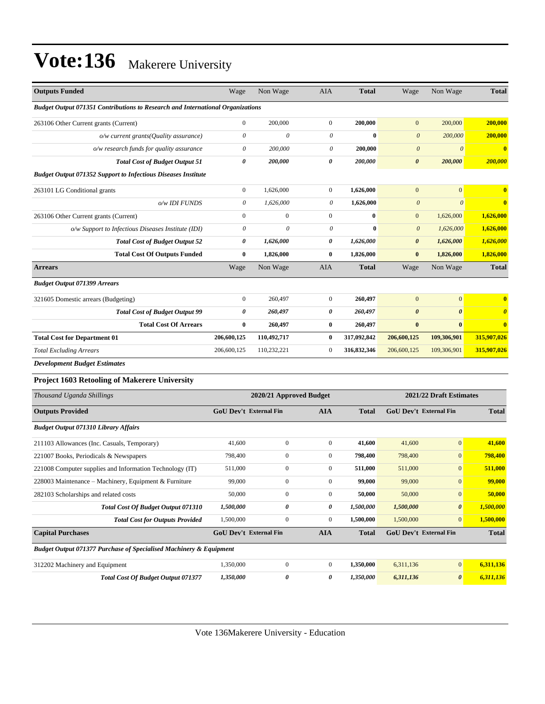| <b>Outputs Funded</b>                                                          | Wage                      | Non Wage                  | AIA                   | <b>Total</b> | Wage                   | Non Wage                | <b>Total</b>          |
|--------------------------------------------------------------------------------|---------------------------|---------------------------|-----------------------|--------------|------------------------|-------------------------|-----------------------|
| Budget Output 071351 Contributions to Research and International Organizations |                           |                           |                       |              |                        |                         |                       |
| 263106 Other Current grants (Current)                                          | $\boldsymbol{0}$          | 200,000                   | $\mathbf{0}$          | 200,000      | $\overline{0}$         | 200,000                 | 200,000               |
| $o/w$ current grants(Quality assurance)                                        | $\boldsymbol{\mathit{0}}$ | $\boldsymbol{\mathit{0}}$ | $\theta$              | $\bf{0}$     | $\boldsymbol{\theta}$  | 200,000                 | 200,000               |
| o/w research funds for quality assurance                                       | $\theta$                  | 200,000                   | 0                     | 200,000      | $\boldsymbol{\theta}$  | $\boldsymbol{\theta}$   | $\bf{0}$              |
| <b>Total Cost of Budget Output 51</b>                                          | $\pmb{\theta}$            | 200,000                   | $\pmb{\theta}$        | 200,000      | $\pmb{\theta}$         | 200,000                 | 200,000               |
| <b>Budget Output 071352 Support to Infectious Diseases Institute</b>           |                           |                           |                       |              |                        |                         |                       |
| 263101 LG Conditional grants                                                   | $\boldsymbol{0}$          | 1,626,000                 | $\mathbf{0}$          | 1,626,000    | $\boldsymbol{0}$       | $\mathbf{0}$            | $\bf{0}$              |
| o/w IDI FUNDS                                                                  | $\boldsymbol{\mathit{0}}$ | 1.626.000                 | 0                     | 1,626,000    | $\boldsymbol{\theta}$  | $\theta$                | $\bf{0}$              |
| 263106 Other Current grants (Current)                                          | $\boldsymbol{0}$          | $\mathbf{0}$              | $\boldsymbol{0}$      | $\bf{0}$     | $\mathbf{0}$           | 1,626,000               | 1,626,000             |
| o/w Support to Infectious Diseases Institute (IDI)                             | $\theta$                  | $\theta$                  | 0                     | $\bf{0}$     | $\boldsymbol{0}$       | 1,626,000               | 1,626,000             |
| <b>Total Cost of Budget Output 52</b>                                          | 0                         | 1,626,000                 | 0                     | 1,626,000    | $\pmb{\theta}$         | 1,626,000               | 1,626,000             |
| <b>Total Cost Of Outputs Funded</b>                                            | $\bf{0}$                  | 1,826,000                 | $\bf{0}$              | 1,826,000    | $\bf{0}$               | 1,826,000               | 1,826,000             |
| <b>Arrears</b>                                                                 | Wage                      | Non Wage                  | AIA                   | <b>Total</b> | Wage                   | Non Wage                | <b>Total</b>          |
| <b>Budget Output 071399 Arrears</b>                                            |                           |                           |                       |              |                        |                         |                       |
| 321605 Domestic arrears (Budgeting)                                            | $\boldsymbol{0}$          | 260,497                   | $\mathbf{0}$          | 260,497      | $\mathbf{0}$           | $\mathbf{0}$            | $\bf{0}$              |
| <b>Total Cost of Budget Output 99</b>                                          | 0                         | 260,497                   | $\boldsymbol{\theta}$ | 260,497      | $\boldsymbol{\theta}$  | $\boldsymbol{\theta}$   | $\boldsymbol{\theta}$ |
| <b>Total Cost Of Arrears</b>                                                   | $\bf{0}$                  | 260,497                   | $\bf{0}$              | 260,497      | $\bf{0}$               | $\bf{0}$                | $\bf{0}$              |
| <b>Total Cost for Department 01</b>                                            | 206,600,125               | 110,492,717               | $\bf{0}$              | 317,092,842  | 206,600,125            | 109,306,901             | 315,907,026           |
| <b>Total Excluding Arrears</b>                                                 | 206,600,125               | 110,232,221               | $\mathbf{0}$          | 316,832,346  | 206,600,125            | 109,306,901             | 315,907,026           |
| <b>Development Budget Estimates</b>                                            |                           |                           |                       |              |                        |                         |                       |
| Project 1603 Retooling of Makerere University                                  |                           |                           |                       |              |                        |                         |                       |
| Thousand Uganda Shillings                                                      |                           | 2020/21 Approved Budget   |                       |              |                        | 2021/22 Draft Estimates |                       |
| <b>Outputs Provided</b>                                                        | GoU Dev't External Fin    |                           | <b>AIA</b>            | <b>Total</b> | GoU Dev't External Fin |                         | Total                 |
| <b>Budget Output 071310 Library Affairs</b>                                    |                           |                           |                       |              |                        |                         |                       |
| 211103 Allowances (Inc. Casuals, Temporary)                                    | 41,600                    | $\mathbf{0}$              | $\boldsymbol{0}$      | 41,600       | 41,600                 | $\mathbf{0}$            | 41,600                |
| 221007 Books, Periodicals & Newspapers                                         | 798,400                   | $\boldsymbol{0}$          | $\boldsymbol{0}$      | 798,400      | 798,400                | $\mathbf{0}$            | 798,400               |
| 221008 Computer supplies and Information Technology (IT)                       | 511,000                   | $\mathbf{0}$              | $\boldsymbol{0}$      | 511,000      | 511,000                | $\boldsymbol{0}$        | 511,000               |
| 228003 Maintenance - Machinery, Equipment & Furniture                          | 99,000                    | $\boldsymbol{0}$          | $\boldsymbol{0}$      | 99,000       | 99,000                 | $\bf{0}$                | 99,000                |
| 282103 Scholarships and related costs                                          | 50,000                    | $\boldsymbol{0}$          | $\boldsymbol{0}$      | 50,000       | 50,000                 | $\boldsymbol{0}$        | 50,000                |
| Total Cost Of Budget Output 071310                                             | 1,500,000                 | 0                         | 0                     | 1,500,000    | 1,500,000              | $\pmb{\theta}$          | 1,500,000             |
| <b>Total Cost for Outputs Provided</b>                                         | 1,500,000                 | $\boldsymbol{0}$          | $\boldsymbol{0}$      | 1,500,000    | 1,500,000              | $\mathbf{0}$            | 1,500,000             |
| <b>Capital Purchases</b>                                                       | GoU Dev't External Fin    |                           | <b>AIA</b>            | <b>Total</b> | GoU Dev't External Fin |                         | <b>Total</b>          |
| <b>Budget Output 071377 Purchase of Specialised Machinery &amp; Equipment</b>  |                           |                           |                       |              |                        |                         |                       |
| 312202 Machinery and Equipment                                                 | 1,350,000                 | $\boldsymbol{0}$          | $\boldsymbol{0}$      | 1,350,000    | 6,311,136              | $\mathbf{0}$            | 6,311,136             |
| Total Cost Of Budget Output 071377                                             | 1,350,000                 | 0                         | 0                     | 1,350,000    | 6,311,136              | $\boldsymbol{\theta}$   | 6,311,136             |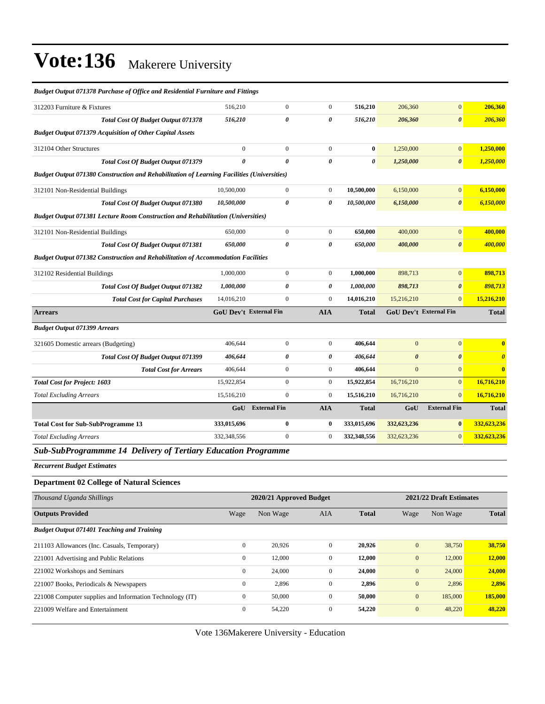| <b>Budget Output 071378 Purchase of Office and Residential Furniture and Fittings</b>             |                |                               |                |              |                               |                       |                         |
|---------------------------------------------------------------------------------------------------|----------------|-------------------------------|----------------|--------------|-------------------------------|-----------------------|-------------------------|
| 312203 Furniture & Fixtures                                                                       | 516,210        | $\boldsymbol{0}$              | $\mathbf{0}$   | 516,210      | 206,360                       | $\mathbf{0}$          | 206,360                 |
| Total Cost Of Budget Output 071378                                                                | 516,210        | 0                             | 0              | 516,210      | 206,360                       | $\boldsymbol{\theta}$ | 206,360                 |
| <b>Budget Output 071379 Acquisition of Other Capital Assets</b>                                   |                |                               |                |              |                               |                       |                         |
| 312104 Other Structures                                                                           | $\overline{0}$ | $\overline{0}$                | $\mathbf{0}$   | $\bf{0}$     | 1,250,000                     | $\mathbf{0}$          | 1,250,000               |
| Total Cost Of Budget Output 071379                                                                | $\theta$       | $\theta$                      | 0              | 0            | 1,250,000                     | $\boldsymbol{\theta}$ | 1,250,000               |
| <b>Budget Output 071380 Construction and Rehabilitation of Learning Facilities (Universities)</b> |                |                               |                |              |                               |                       |                         |
| 312101 Non-Residential Buildings                                                                  | 10,500,000     | $\boldsymbol{0}$              | $\overline{0}$ | 10,500,000   | 6,150,000                     | $\mathbf{0}$          | 6,150,000               |
| Total Cost Of Budget Output 071380                                                                | 10,500,000     | 0                             | 0              | 10,500,000   | 6,150,000                     | $\boldsymbol{\theta}$ | 6,150,000               |
| <b>Budget Output 071381 Lecture Room Construction and Rehabilitation (Universities)</b>           |                |                               |                |              |                               |                       |                         |
| 312101 Non-Residential Buildings                                                                  | 650,000        | $\boldsymbol{0}$              | $\overline{0}$ | 650,000      | 400,000                       | $\mathbf{0}$          | 400,000                 |
| <b>Total Cost Of Budget Output 071381</b>                                                         | 650,000        | 0                             | 0              | 650,000      | 400,000                       | $\boldsymbol{\theta}$ | 400,000                 |
| <b>Budget Output 071382 Construction and Rehabilitation of Accommodation Facilities</b>           |                |                               |                |              |                               |                       |                         |
| 312102 Residential Buildings                                                                      | 1,000,000      | $\overline{0}$                | $\overline{0}$ | 1,000,000    | 898,713                       | $\mathbf{0}$          | 898,713                 |
| <b>Total Cost Of Budget Output 071382</b>                                                         | 1,000,000      | 0                             | 0              | 1,000,000    | 898,713                       | $\boldsymbol{\theta}$ | 898,713                 |
| <b>Total Cost for Capital Purchases</b>                                                           | 14,016,210     | $\overline{0}$                | $\overline{0}$ | 14,016,210   | 15,216,210                    | $\mathbf{0}$          | 15,216,210              |
| <b>Arrears</b>                                                                                    |                | <b>GoU Dev't External Fin</b> | <b>AIA</b>     | <b>Total</b> | <b>GoU Dev't External Fin</b> |                       | <b>Total</b>            |
| <b>Budget Output 071399 Arrears</b>                                                               |                |                               |                |              |                               |                       |                         |
| 321605 Domestic arrears (Budgeting)                                                               | 406,644        | $\boldsymbol{0}$              | $\mathbf{0}$   | 406,644      | $\overline{0}$                | $\mathbf{0}$          | $\overline{\mathbf{0}}$ |
| <b>Total Cost Of Budget Output 071399</b>                                                         | 406,644        | 0                             | 0              | 406,644      | $\boldsymbol{\theta}$         | $\boldsymbol{\theta}$ | $\boldsymbol{\theta}$   |
| <b>Total Cost for Arrears</b>                                                                     | 406,644        | $\boldsymbol{0}$              | $\overline{0}$ | 406,644      | $\mathbf{0}$                  | $\mathbf{0}$          | $\bf{0}$                |
| <b>Total Cost for Project: 1603</b>                                                               | 15,922,854     | $\boldsymbol{0}$              | $\mathbf{0}$   | 15,922,854   | 16,716,210                    | $\mathbf{0}$          | 16,716,210              |
| <b>Total Excluding Arrears</b>                                                                    | 15,516,210     | $\overline{0}$                | $\mathbf{0}$   | 15,516,210   | 16,716,210                    | $\mathbf{0}$          | 16,716,210              |
|                                                                                                   |                | <b>GoU</b> External Fin       | <b>AIA</b>     | <b>Total</b> | GoU                           | <b>External Fin</b>   | <b>Total</b>            |
| <b>Total Cost for Sub-SubProgramme 13</b>                                                         | 333,015,696    | $\bf{0}$                      | $\bf{0}$       | 333,015,696  | 332,623,236                   | $\bf{0}$              | 332,623,236             |
| <b>Total Excluding Arrears</b>                                                                    | 332,348,556    | $\overline{0}$                | $\mathbf{0}$   | 332,348,556  | 332,623,236                   | $\mathbf{0}$          | 332,623,236             |
| Sub-SubProgrammme 14 Delivery of Tertiary Education Programme                                     |                |                               |                |              |                               |                       |                         |

*Recurrent Budget Estimates*

#### **Department 02 College of Natural Sciences**

| Thousand Uganda Shillings                                |              | 2020/21 Approved Budget |              |              |                | 2021/22 Draft Estimates |              |
|----------------------------------------------------------|--------------|-------------------------|--------------|--------------|----------------|-------------------------|--------------|
| <b>Outputs Provided</b>                                  | Wage         | Non Wage                | <b>AIA</b>   | <b>Total</b> | Wage           | Non Wage                | <b>Total</b> |
| <b>Budget Output 071401 Teaching and Training</b>        |              |                         |              |              |                |                         |              |
| 211103 Allowances (Inc. Casuals, Temporary)              | $\mathbf{0}$ | 20,926                  | $\Omega$     | 20,926       | $\overline{0}$ | 38,750                  | 38,750       |
| 221001 Advertising and Public Relations                  | $\mathbf{0}$ | 12,000                  | $\mathbf{0}$ | 12,000       | $\mathbf{0}$   | 12,000                  | 12,000       |
| 221002 Workshops and Seminars                            | $\mathbf{0}$ | 24,000                  | $\Omega$     | 24,000       | $\overline{0}$ | 24,000                  | 24,000       |
| 221007 Books, Periodicals & Newspapers                   | $\mathbf{0}$ | 2,896                   | $\mathbf{0}$ | 2,896        | $\overline{0}$ | 2,896                   | 2,896        |
| 221008 Computer supplies and Information Technology (IT) | $\mathbf{0}$ | 50,000                  | $\mathbf{0}$ | 50,000       | $\mathbf{0}$   | 185,000                 | 185,000      |
| 221009 Welfare and Entertainment                         | $\mathbf{0}$ | 54,220                  | $\mathbf{0}$ | 54,220       | $\overline{0}$ | 48,220                  | 48.220       |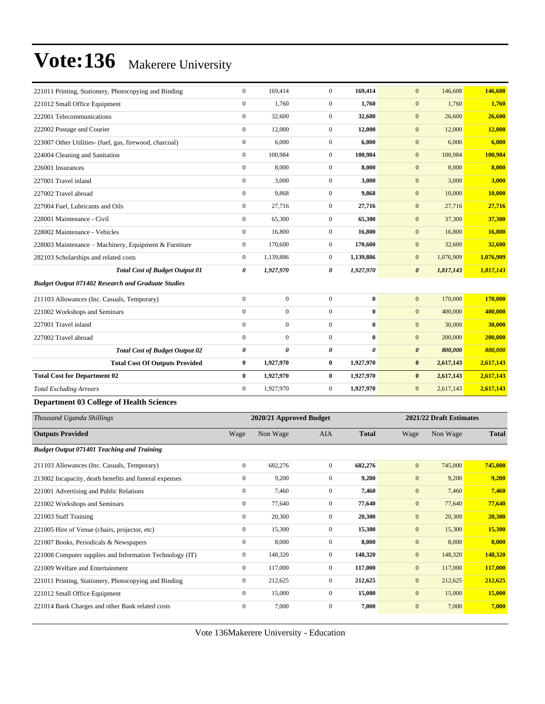| 221011 Printing, Stationery, Photocopying and Binding     | $\boldsymbol{0}$      | 169,414                 | $\mathbf{0}$     | 169,414        | $\mathbf{0}$          | 146,608                 | 146,608       |
|-----------------------------------------------------------|-----------------------|-------------------------|------------------|----------------|-----------------------|-------------------------|---------------|
| 221012 Small Office Equipment                             | $\boldsymbol{0}$      | 1,760                   | $\boldsymbol{0}$ | 1,760          | $\mathbf{0}$          | 1,760                   | 1,760         |
| 222001 Telecommunications                                 | $\boldsymbol{0}$      | 32,600                  | $\boldsymbol{0}$ | 32,600         | $\mathbf{0}$          | 26,600                  | 26,600        |
| 222002 Postage and Courier                                | $\boldsymbol{0}$      | 12,000                  | $\boldsymbol{0}$ | 12,000         | $\mathbf{0}$          | 12,000                  | 12,000        |
| 223007 Other Utilities- (fuel, gas, firewood, charcoal)   | $\boldsymbol{0}$      | 6,000                   | $\boldsymbol{0}$ | 6,000          | $\mathbf{0}$          | 6,000                   | 6,000         |
| 224004 Cleaning and Sanitation                            | $\boldsymbol{0}$      | 100,984                 | $\boldsymbol{0}$ | 100,984        | $\mathbf{0}$          | 100,984                 | 100,984       |
| 226001 Insurances                                         | $\boldsymbol{0}$      | 8,000                   | $\boldsymbol{0}$ | 8,000          | $\mathbf{0}$          | 8,000                   | 8,000         |
| 227001 Travel inland                                      | $\boldsymbol{0}$      | 3,000                   | $\mathbf{0}$     | 3,000          | $\mathbf{0}$          | 3,000                   | 3,000         |
| 227002 Travel abroad                                      | $\boldsymbol{0}$      | 9,868                   | $\boldsymbol{0}$ | 9,868          | $\mathbf{0}$          | 10,000                  | 10,000        |
| 227004 Fuel, Lubricants and Oils                          | $\boldsymbol{0}$      | 27,716                  | $\boldsymbol{0}$ | 27,716         | $\mathbf{0}$          | 27,716                  | 27,716        |
| 228001 Maintenance - Civil                                | $\boldsymbol{0}$      | 65,300                  | $\boldsymbol{0}$ | 65,300         | $\mathbf{0}$          | 37,300                  | 37,300        |
| 228002 Maintenance - Vehicles                             | $\boldsymbol{0}$      | 16,800                  | $\boldsymbol{0}$ | 16,800         | $\mathbf{0}$          | 16,800                  | 16,800        |
| 228003 Maintenance – Machinery, Equipment & Furniture     | $\boldsymbol{0}$      | 170,600                 | $\boldsymbol{0}$ | 170,600        | $\mathbf{0}$          | 32,600                  | 32,600        |
| 282103 Scholarships and related costs                     | $\mathbf{0}$          | 1,139,886               | $\boldsymbol{0}$ | 1,139,886      | $\mathbf{0}$          | 1,076,909               | 1,076,909     |
| <b>Total Cost of Budget Output 01</b>                     | 0                     | 1,927,970               | 0                | 1,927,970      | $\boldsymbol{\theta}$ | 1,817,143               | 1,817,143     |
| <b>Budget Output 071402 Research and Graduate Studies</b> |                       |                         |                  |                |                       |                         |               |
| 211103 Allowances (Inc. Casuals, Temporary)               | $\boldsymbol{0}$      | $\boldsymbol{0}$        | $\mathbf{0}$     | $\bf{0}$       | $\boldsymbol{0}$      | 170,000                 | 170,000       |
| 221002 Workshops and Seminars                             | $\mathbf{0}$          | $\boldsymbol{0}$        | $\boldsymbol{0}$ | $\bf{0}$       | $\mathbf{0}$          | 400,000                 | 400,000       |
| 227001 Travel inland                                      | $\mathbf{0}$          | $\boldsymbol{0}$        | $\boldsymbol{0}$ | $\bf{0}$       | $\mathbf{0}$          | 30,000                  | 30,000        |
| 227002 Travel abroad                                      | $\boldsymbol{0}$      | $\boldsymbol{0}$        | $\boldsymbol{0}$ | $\bf{0}$       | $\mathbf{0}$          | 200,000                 | 200,000       |
| <b>Total Cost of Budget Output 02</b>                     | $\boldsymbol{\theta}$ | 0                       | 0                | $\pmb{\theta}$ | $\boldsymbol{\theta}$ | 800,000                 | 800,000       |
| <b>Total Cost Of Outputs Provided</b>                     | $\bf{0}$              | 1,927,970               | 0                | 1,927,970      | $\bf{0}$              | 2,617,143               | 2,617,143     |
| <b>Total Cost for Department 02</b>                       | $\bf{0}$              | 1,927,970               | $\bf{0}$         | 1,927,970      | $\bf{0}$              | 2,617,143               | 2,617,143     |
| <b>Total Excluding Arrears</b>                            | $\boldsymbol{0}$      | 1,927,970               | $\boldsymbol{0}$ | 1,927,970      | $\mathbf{0}$          | 2,617,143               | 2,617,143     |
| <b>Department 03 College of Health Sciences</b>           |                       |                         |                  |                |                       |                         |               |
| Thousand Uganda Shillings                                 |                       | 2020/21 Approved Budget |                  |                |                       | 2021/22 Draft Estimates |               |
| <b>Outputs Provided</b>                                   | Wage                  | Non Wage                | <b>AIA</b>       | <b>Total</b>   | Wage                  | Non Wage                | <b>Total</b>  |
| <b>Budget Output 071401 Teaching and Training</b>         |                       |                         |                  |                |                       |                         |               |
| 211103 Allowances (Inc. Casuals, Temporary)               | $\mathbf{0}$          | 682,276                 | $\boldsymbol{0}$ | 682,276        | $\mathbf{0}$          | 745,000                 | 745,000       |
| 213002 Incapacity, death benefits and funeral expenses    | $\mathbf{0}$          | 9,200                   | $\overline{0}$   | 9,200          | $\mathbf{0}$          | 9,200                   | 9,200         |
| 221001 Advertising and Public Relations                   | $\boldsymbol{0}$      | 7,460                   | $\boldsymbol{0}$ | 7,460          | $\mathbf{0}$          | 7,460                   | 7,460         |
| 221002 Workshops and Seminars                             | $\boldsymbol{0}$      | 77,640                  | $\boldsymbol{0}$ | 77,640         | $\boldsymbol{0}$      | 77,640                  | 77,640        |
| 221003 Staff Training                                     | $\boldsymbol{0}$      | 20,300                  | $\boldsymbol{0}$ | 20,300         | $\boldsymbol{0}$      | 20,300                  | 20,300        |
| 221005 Hire of Venue (chairs, projector, etc)             | $\boldsymbol{0}$      | 15,300                  | $\boldsymbol{0}$ | 15,300         | $\boldsymbol{0}$      | 15,300                  | 15,300        |
| 221007 Books, Periodicals & Newspapers                    | $\boldsymbol{0}$      | 8,000                   | $\boldsymbol{0}$ | 8,000          | $\boldsymbol{0}$      | 8,000                   | 8,000         |
| 221008 Computer supplies and Information Technology (IT)  | $\boldsymbol{0}$      | 148,320                 | $\boldsymbol{0}$ | 148,320        | $\boldsymbol{0}$      | 148,320                 | 148,320       |
| 221009 Welfare and Entertainment                          | $\boldsymbol{0}$      | 117,000                 | $\boldsymbol{0}$ | 117,000        | $\boldsymbol{0}$      | 117,000                 | 117,000       |
| 221011 Printing, Stationery, Photocopying and Binding     | $\boldsymbol{0}$      | 212,625                 | $\boldsymbol{0}$ | 212,625        | $\boldsymbol{0}$      | 212,625                 | 212,625       |
| 221012 Small Office Equipment                             | $\boldsymbol{0}$      | 15,000                  | $\boldsymbol{0}$ | 15,000         | $\mathbf{0}$          | 15,000                  | <b>15,000</b> |
| 221014 Bank Charges and other Bank related costs          | $\boldsymbol{0}$      | 7,000                   | $\boldsymbol{0}$ | 7,000          | $\boldsymbol{0}$      | 7,000                   | 7,000         |
|                                                           |                       |                         |                  |                |                       |                         |               |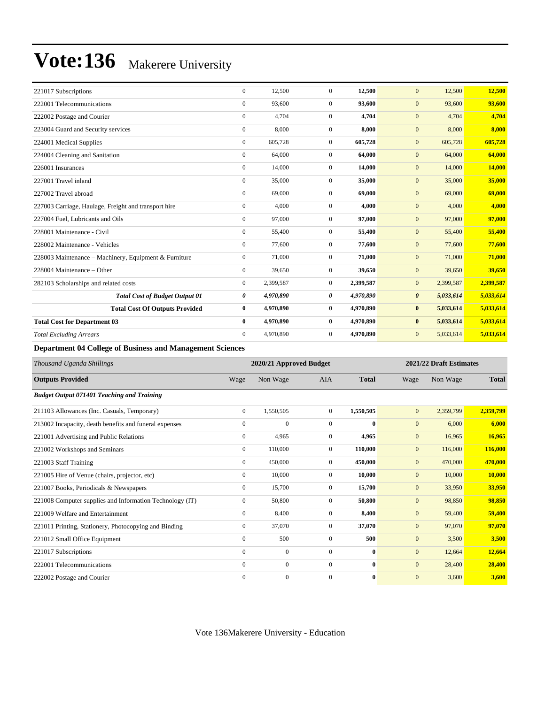| 221017 Subscriptions                                  | $\mathbf{0}$     | 12,500    | $\mathbf{0}$   | 12,500    | $\mathbf{0}$<br>12,500             | 12,500    |
|-------------------------------------------------------|------------------|-----------|----------------|-----------|------------------------------------|-----------|
| 222001 Telecommunications                             | $\mathbf{0}$     | 93,600    | $\mathbf{0}$   | 93,600    | $\mathbf{0}$<br>93,600             | 93,600    |
| 222002 Postage and Courier                            | $\mathbf{0}$     | 4,704     | $\mathbf{0}$   | 4,704     | 4,704<br>$\mathbf{0}$              | 4,704     |
| 223004 Guard and Security services                    | $\mathbf{0}$     | 8,000     | $\overline{0}$ | 8,000     | 8,000<br>$\mathbf{0}$              | 8.000     |
| 224001 Medical Supplies                               | $\overline{0}$   | 605,728   | $\overline{0}$ | 605,728   | 605,728<br>$\mathbf{0}$            | 605,728   |
| 224004 Cleaning and Sanitation                        | $\mathbf{0}$     | 64,000    | $\Omega$       | 64,000    | $\mathbf{0}$<br>64,000             | 64,000    |
| 226001 Insurances                                     | $\mathbf{0}$     | 14,000    | $\overline{0}$ | 14,000    | $\mathbf{0}$<br>14,000             | 14,000    |
| 227001 Travel inland                                  | $\overline{0}$   | 35,000    | $\overline{0}$ | 35,000    | 35,000<br>$\mathbf{0}$             | 35,000    |
| 227002 Travel abroad                                  | $\mathbf{0}$     | 69,000    | $\overline{0}$ | 69,000    | $\mathbf{0}$<br>69,000             | 69,000    |
| 227003 Carriage, Haulage, Freight and transport hire  | $\boldsymbol{0}$ | 4,000     | $\overline{0}$ | 4,000     | 4,000<br>$\mathbf{0}$              | 4,000     |
| 227004 Fuel, Lubricants and Oils                      | $\overline{0}$   | 97,000    | $\overline{0}$ | 97,000    | 97,000<br>$\mathbf{0}$             | 97,000    |
| 228001 Maintenance - Civil                            | $\mathbf{0}$     | 55,400    | $\overline{0}$ | 55,400    | $\mathbf{0}$<br>55,400             | 55,400    |
| 228002 Maintenance - Vehicles                         | $\mathbf{0}$     | 77,600    | $\overline{0}$ | 77,600    | $\mathbf{0}$<br>77,600             | 77,600    |
| 228003 Maintenance – Machinery, Equipment & Furniture | $\overline{0}$   | 71,000    | $\mathbf{0}$   | 71,000    | 71,000<br>$\mathbf{0}$             | 71,000    |
| 228004 Maintenance – Other                            | $\overline{0}$   | 39,650    | $\overline{0}$ | 39,650    | $\mathbf{0}$<br>39,650             | 39,650    |
| 282103 Scholarships and related costs                 | $\overline{0}$   | 2,399,587 | $\mathbf{0}$   | 2,399,587 | 2,399,587<br>$\mathbf{0}$          | 2,399,587 |
| <b>Total Cost of Budget Output 01</b>                 | 0                | 4,970,890 | 0              | 4,970,890 | 5,033,614<br>$\boldsymbol{\theta}$ | 5,033,614 |
| <b>Total Cost Of Outputs Provided</b>                 | $\bf{0}$         | 4,970,890 | $\bf{0}$       | 4,970,890 | $\bf{0}$<br>5,033,614              | 5,033,614 |
| <b>Total Cost for Department 03</b>                   | $\bf{0}$         | 4,970,890 | $\bf{0}$       | 4,970,890 | $\bf{0}$<br>5,033,614              | 5,033,614 |
| <b>Total Excluding Arrears</b>                        | $\overline{0}$   | 4,970,890 | $\mathbf{0}$   | 4,970,890 | $\mathbf{0}$<br>5,033,614          | 5,033,614 |

**Department 04 College of Business and Management Sciences**

| Thousand Uganda Shillings                                |                  | 2020/21 Approved Budget |                |              |              | 2021/22 Draft Estimates |              |  |
|----------------------------------------------------------|------------------|-------------------------|----------------|--------------|--------------|-------------------------|--------------|--|
| <b>Outputs Provided</b>                                  | Wage             | Non Wage                | <b>AIA</b>     | <b>Total</b> | Wage         | Non Wage                | <b>Total</b> |  |
| <b>Budget Output 071401 Teaching and Training</b>        |                  |                         |                |              |              |                         |              |  |
| 211103 Allowances (Inc. Casuals, Temporary)              | $\overline{0}$   | 1,550,505               | $\overline{0}$ | 1,550,505    | $\mathbf{0}$ | 2,359,799               | 2,359,799    |  |
| 213002 Incapacity, death benefits and funeral expenses   | $\mathbf{0}$     | $\mathbf{0}$            | $\overline{0}$ | $\bf{0}$     | $\mathbf{0}$ | 6,000                   | 6,000        |  |
| 221001 Advertising and Public Relations                  | $\mathbf{0}$     | 4,965                   | $\overline{0}$ | 4,965        | $\mathbf{0}$ | 16,965                  | 16,965       |  |
| 221002 Workshops and Seminars                            | $\mathbf{0}$     | 110,000                 | $\overline{0}$ | 110,000      | $\mathbf{0}$ | 116,000                 | 116,000      |  |
| 221003 Staff Training                                    | $\mathbf{0}$     | 450,000                 | $\overline{0}$ | 450,000      | $\mathbf{0}$ | 470,000                 | 470,000      |  |
| 221005 Hire of Venue (chairs, projector, etc)            | $\mathbf{0}$     | 10,000                  | $\overline{0}$ | 10,000       | $\mathbf{0}$ | 10,000                  | 10,000       |  |
| 221007 Books, Periodicals & Newspapers                   | $\mathbf{0}$     | 15,700                  | $\overline{0}$ | 15,700       | $\mathbf{0}$ | 33,950                  | 33,950       |  |
| 221008 Computer supplies and Information Technology (IT) | $\mathbf{0}$     | 50,800                  | $\overline{0}$ | 50,800       | $\mathbf{0}$ | 98,850                  | 98,850       |  |
| 221009 Welfare and Entertainment                         | $\mathbf{0}$     | 8,400                   | $\overline{0}$ | 8,400        | $\mathbf{0}$ | 59,400                  | 59,400       |  |
| 221011 Printing, Stationery, Photocopying and Binding    | $\boldsymbol{0}$ | 37,070                  | $\mathbf{0}$   | 37,070       | $\mathbf{0}$ | 97,070                  | 97,070       |  |
| 221012 Small Office Equipment                            | $\mathbf{0}$     | 500                     | $\overline{0}$ | 500          | $\mathbf{0}$ | 3,500                   | 3,500        |  |
| 221017 Subscriptions                                     | $\mathbf{0}$     | $\boldsymbol{0}$        | $\overline{0}$ | $\mathbf{0}$ | $\mathbf{0}$ | 12,664                  | 12,664       |  |
| 222001 Telecommunications                                | $\Omega$         | $\mathbf{0}$            | $\overline{0}$ | $\mathbf{0}$ | $\mathbf{0}$ | 28,400                  | 28,400       |  |
| 222002 Postage and Courier                               | $\Omega$         | $\mathbf{0}$            | $\Omega$       | $\bf{0}$     | $\mathbf{0}$ | 3,600                   | 3,600        |  |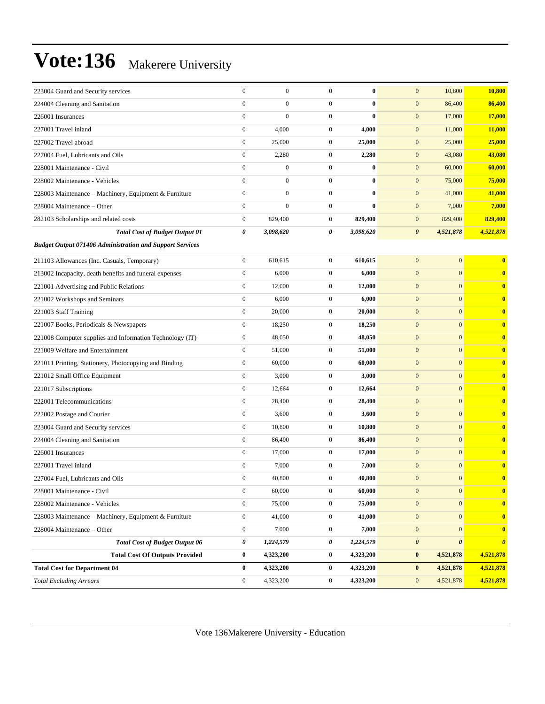| 223004 Guard and Security services                              | $\boldsymbol{0}$ | $\boldsymbol{0}$ | $\mathbf{0}$     | $\bf{0}$  | $\mathbf{0}$<br>10,800             | 10,800                  |
|-----------------------------------------------------------------|------------------|------------------|------------------|-----------|------------------------------------|-------------------------|
| 224004 Cleaning and Sanitation                                  | $\mathbf{0}$     | $\boldsymbol{0}$ | $\boldsymbol{0}$ | $\bf{0}$  | $\mathbf{0}$<br>86,400             | 86,400                  |
| 226001 Insurances                                               | $\boldsymbol{0}$ | $\overline{0}$   | $\boldsymbol{0}$ | $\bf{0}$  | $\mathbf{0}$<br>17,000             | 17,000                  |
| 227001 Travel inland                                            | $\boldsymbol{0}$ | 4,000            | $\boldsymbol{0}$ | 4,000     | $\mathbf{0}$<br>11,000             | 11,000                  |
| 227002 Travel abroad                                            | $\boldsymbol{0}$ | 25,000           | $\boldsymbol{0}$ | 25,000    | $\mathbf{0}$<br>25,000             | 25,000                  |
| 227004 Fuel, Lubricants and Oils                                | $\boldsymbol{0}$ | 2,280            | $\boldsymbol{0}$ | 2,280     | $\mathbf{0}$<br>43,080             | 43,080                  |
| 228001 Maintenance - Civil                                      | $\mathbf{0}$     | $\boldsymbol{0}$ | $\boldsymbol{0}$ | $\bf{0}$  | $\mathbf{0}$<br>60,000             | 60,000                  |
| 228002 Maintenance - Vehicles                                   | $\overline{0}$   | $\boldsymbol{0}$ | $\boldsymbol{0}$ | $\bf{0}$  | $\mathbf{0}$<br>75,000             | 75,000                  |
| 228003 Maintenance – Machinery, Equipment & Furniture           | $\mathbf{0}$     | $\boldsymbol{0}$ | $\boldsymbol{0}$ | $\bf{0}$  | $\mathbf{0}$<br>41,000             | 41,000                  |
| 228004 Maintenance - Other                                      | $\boldsymbol{0}$ | $\boldsymbol{0}$ | $\boldsymbol{0}$ | $\bf{0}$  | $\mathbf{0}$<br>7,000              | 7,000                   |
| 282103 Scholarships and related costs                           | $\boldsymbol{0}$ | 829,400          | $\boldsymbol{0}$ | 829,400   | $\mathbf{0}$<br>829,400            | 829,400                 |
| <b>Total Cost of Budget Output 01</b>                           | 0                | 3,098,620        | 0                | 3,098,620 | $\boldsymbol{\theta}$<br>4,521,878 | 4,521,878               |
| <b>Budget Output 071406 Administration and Support Services</b> |                  |                  |                  |           |                                    |                         |
| 211103 Allowances (Inc. Casuals, Temporary)                     | $\boldsymbol{0}$ | 610,615          | $\boldsymbol{0}$ | 610,615   | $\overline{0}$<br>$\mathbf{0}$     | $\bf{0}$                |
| 213002 Incapacity, death benefits and funeral expenses          | $\boldsymbol{0}$ | 6,000            | $\boldsymbol{0}$ | 6,000     | $\mathbf{0}$<br>$\overline{0}$     | $\bf{0}$                |
| 221001 Advertising and Public Relations                         | $\boldsymbol{0}$ | 12,000           | $\boldsymbol{0}$ | 12,000    | $\mathbf{0}$<br>$\mathbf{0}$       | $\bf{0}$                |
| 221002 Workshops and Seminars                                   | $\boldsymbol{0}$ | 6,000            | $\boldsymbol{0}$ | 6,000     | $\mathbf{0}$<br>$\overline{0}$     | $\bf{0}$                |
| 221003 Staff Training                                           | $\boldsymbol{0}$ | 20,000           | $\boldsymbol{0}$ | 20,000    | $\mathbf{0}$<br>$\mathbf{0}$       | $\bf{0}$                |
| 221007 Books, Periodicals & Newspapers                          | $\boldsymbol{0}$ | 18,250           | $\boldsymbol{0}$ | 18,250    | $\mathbf{0}$<br>$\mathbf{0}$       | $\bf{0}$                |
| 221008 Computer supplies and Information Technology (IT)        | $\boldsymbol{0}$ | 48,050           | $\boldsymbol{0}$ | 48,050    | $\mathbf{0}$<br>$\mathbf{0}$       | $\bf{0}$                |
| 221009 Welfare and Entertainment                                | $\boldsymbol{0}$ | 51,000           | $\boldsymbol{0}$ | 51,000    | $\mathbf{0}$<br>$\mathbf{0}$       | $\bf{0}$                |
| 221011 Printing, Stationery, Photocopying and Binding           | $\boldsymbol{0}$ | 60,000           | $\boldsymbol{0}$ | 60,000    | $\mathbf{0}$<br>$\overline{0}$     | $\bf{0}$                |
| 221012 Small Office Equipment                                   | $\boldsymbol{0}$ | 3,000            | $\boldsymbol{0}$ | 3,000     | $\mathbf{0}$<br>$\mathbf{0}$       | $\bf{0}$                |
| 221017 Subscriptions                                            | $\boldsymbol{0}$ | 12,664           | $\boldsymbol{0}$ | 12,664    | $\overline{0}$<br>$\mathbf{0}$     | $\bf{0}$                |
| 222001 Telecommunications                                       | $\boldsymbol{0}$ | 28,400           | $\boldsymbol{0}$ | 28,400    | $\mathbf{0}$<br>$\mathbf{0}$       | $\bf{0}$                |
| 222002 Postage and Courier                                      | $\boldsymbol{0}$ | 3,600            | $\boldsymbol{0}$ | 3,600     | $\mathbf{0}$<br>$\mathbf{0}$       | $\bf{0}$                |
| 223004 Guard and Security services                              | $\boldsymbol{0}$ | 10,800           | $\boldsymbol{0}$ | 10,800    | $\mathbf{0}$<br>$\overline{0}$     | $\bf{0}$                |
| 224004 Cleaning and Sanitation                                  | $\boldsymbol{0}$ | 86,400           | $\boldsymbol{0}$ | 86,400    | $\mathbf{0}$<br>$\mathbf{0}$       | $\bf{0}$                |
| 226001 Insurances                                               | $\boldsymbol{0}$ | 17,000           | $\boldsymbol{0}$ | 17,000    | $\mathbf{0}$<br>$\mathbf{0}$       | $\bf{0}$                |
| 227001 Travel inland                                            | $\boldsymbol{0}$ | 7,000            | $\boldsymbol{0}$ | 7,000     | $\mathbf{0}$<br>$\boldsymbol{0}$   | $\bf{0}$                |
| 227004 Fuel, Lubricants and Oils                                | $\mathbf{0}$     | 40,800           | $\Omega$         | 40,800    | $\overline{0}$<br>$\overline{0}$   | $\overline{\mathbf{0}}$ |
| 228001 Maintenance - Civil                                      | $\boldsymbol{0}$ | 60,000           | $\boldsymbol{0}$ | 60,000    | $\mathbf{0}$<br>$\mathbf{0}$       | $\bf{0}$                |
| 228002 Maintenance - Vehicles                                   | $\boldsymbol{0}$ | 75,000           | $\boldsymbol{0}$ | 75,000    | $\boldsymbol{0}$<br>$\mathbf{0}$   | $\overline{\mathbf{0}}$ |
| 228003 Maintenance – Machinery, Equipment & Furniture           | $\boldsymbol{0}$ | 41,000           | $\boldsymbol{0}$ | 41,000    | $\vert 0 \vert$<br>$\mathbf{0}$    | $\bf{0}$                |
| 228004 Maintenance - Other                                      | $\boldsymbol{0}$ | 7,000            | $\boldsymbol{0}$ | 7,000     | $\mathbf{0}$<br>$\mathbf{0}$       | $\bf{0}$                |
| <b>Total Cost of Budget Output 06</b>                           | 0                | 1,224,579        | 0                | 1,224,579 | $\pmb{\theta}$<br>0                | $\boldsymbol{\theta}$   |
| <b>Total Cost Of Outputs Provided</b>                           | $\bf{0}$         | 4,323,200        | $\boldsymbol{0}$ | 4,323,200 | $\bf{0}$<br>4,521,878              | 4,521,878               |
| <b>Total Cost for Department 04</b>                             | $\bf{0}$         | 4,323,200        | $\boldsymbol{0}$ | 4,323,200 | $\bf{0}$<br>4,521,878              | 4,521,878               |
| <b>Total Excluding Arrears</b>                                  | $\boldsymbol{0}$ | 4,323,200        | $\boldsymbol{0}$ | 4,323,200 | $\mathbf{0}$<br>4,521,878          | 4,521,878               |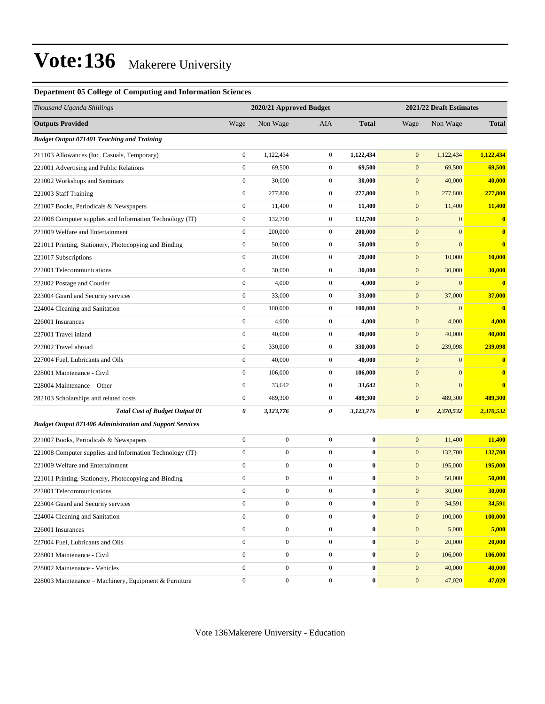#### **Department 05 College of Computing and Information Sciences**

| Thousand Uganda Shillings                                       |                  | 2020/21 Approved Budget |                  |                  |                       | 2021/22 Draft Estimates |              |
|-----------------------------------------------------------------|------------------|-------------------------|------------------|------------------|-----------------------|-------------------------|--------------|
| <b>Outputs Provided</b>                                         | Wage             | Non Wage                | AIA              | <b>Total</b>     | Wage                  | Non Wage                | <b>Total</b> |
| <b>Budget Output 071401 Teaching and Training</b>               |                  |                         |                  |                  |                       |                         |              |
| 211103 Allowances (Inc. Casuals, Temporary)                     | $\boldsymbol{0}$ | 1,122,434               | $\mathbf{0}$     | 1,122,434        | $\mathbf{0}$          | 1,122,434               | 1,122,434    |
| 221001 Advertising and Public Relations                         | $\boldsymbol{0}$ | 69,500                  | $\mathbf{0}$     | 69,500           | $\mathbf{0}$          | 69,500                  | 69,500       |
| 221002 Workshops and Seminars                                   | $\boldsymbol{0}$ | 30,000                  | $\boldsymbol{0}$ | 30,000           | $\boldsymbol{0}$      | 40,000                  | 40,000       |
| 221003 Staff Training                                           | $\boldsymbol{0}$ | 277,800                 | $\mathbf{0}$     | 277,800          | $\mathbf{0}$          | 277,800                 | 277,800      |
| 221007 Books, Periodicals & Newspapers                          | $\boldsymbol{0}$ | 11,400                  | $\boldsymbol{0}$ | 11,400           | $\mathbf{0}$          | 11,400                  | 11,400       |
| 221008 Computer supplies and Information Technology (IT)        | $\boldsymbol{0}$ | 132,700                 | $\mathbf{0}$     | 132,700          | $\boldsymbol{0}$      | $\mathbf{0}$            | $\bf{0}$     |
| 221009 Welfare and Entertainment                                | $\boldsymbol{0}$ | 200,000                 | $\mathbf{0}$     | 200,000          | $\mathbf{0}$          | $\mathbf{0}$            | $\bf{0}$     |
| 221011 Printing, Stationery, Photocopying and Binding           | $\boldsymbol{0}$ | 50,000                  | $\boldsymbol{0}$ | 50,000           | $\boldsymbol{0}$      | $\overline{0}$          | $\bf{0}$     |
| 221017 Subscriptions                                            | $\boldsymbol{0}$ | 20,000                  | $\boldsymbol{0}$ | 20,000           | $\mathbf{0}$          | 10,000                  | 10,000       |
| 222001 Telecommunications                                       | $\boldsymbol{0}$ | 30,000                  | $\boldsymbol{0}$ | 30,000           | $\mathbf{0}$          | 30,000                  | 30,000       |
| 222002 Postage and Courier                                      | $\boldsymbol{0}$ | 4,000                   | $\mathbf{0}$     | 4,000            | $\mathbf{0}$          | $\mathbf{0}$            | $\bf{0}$     |
| 223004 Guard and Security services                              | $\boldsymbol{0}$ | 33,000                  | $\mathbf{0}$     | 33,000           | $\mathbf{0}$          | 37,000                  | 37,000       |
| 224004 Cleaning and Sanitation                                  | $\boldsymbol{0}$ | 100,000                 | $\mathbf{0}$     | 100,000          | $\boldsymbol{0}$      | $\mathbf{0}$            | $\bf{0}$     |
| 226001 Insurances                                               | $\boldsymbol{0}$ | 4,000                   | $\mathbf{0}$     | 4,000            | $\mathbf{0}$          | 4,000                   | 4,000        |
| 227001 Travel inland                                            | $\boldsymbol{0}$ | 40,000                  | $\boldsymbol{0}$ | 40,000           | $\mathbf{0}$          | 40,000                  | 40,000       |
| 227002 Travel abroad                                            | $\boldsymbol{0}$ | 330,000                 | $\mathbf{0}$     | 330,000          | $\mathbf{0}$          | 239,098                 | 239,098      |
| 227004 Fuel, Lubricants and Oils                                | $\boldsymbol{0}$ | 40,000                  | $\mathbf{0}$     | 40,000           | $\mathbf{0}$          | $\mathbf{0}$            | $\bf{0}$     |
| 228001 Maintenance - Civil                                      | $\boldsymbol{0}$ | 106,000                 | $\boldsymbol{0}$ | 106,000          | $\boldsymbol{0}$      | $\mathbf{0}$            | $\bf{0}$     |
| 228004 Maintenance - Other                                      | $\boldsymbol{0}$ | 33,642                  | $\mathbf{0}$     | 33,642           | $\boldsymbol{0}$      | $\mathbf{0}$            | $\bf{0}$     |
| 282103 Scholarships and related costs                           | $\boldsymbol{0}$ | 489,300                 | $\boldsymbol{0}$ | 489,300          | $\mathbf{0}$          | 489,300                 | 489,300      |
| <b>Total Cost of Budget Output 01</b>                           | 0                | 3,123,776               | 0                | 3,123,776        | $\boldsymbol{\theta}$ | 2,370,532               | 2,370,532    |
| <b>Budget Output 071406 Administration and Support Services</b> |                  |                         |                  |                  |                       |                         |              |
| 221007 Books, Periodicals & Newspapers                          | $\boldsymbol{0}$ | $\boldsymbol{0}$        | $\boldsymbol{0}$ | $\bf{0}$         | $\mathbf{0}$          | 11,400                  | 11,400       |
| 221008 Computer supplies and Information Technology (IT)        | $\boldsymbol{0}$ | $\boldsymbol{0}$        | $\boldsymbol{0}$ | $\bf{0}$         | $\boldsymbol{0}$      | 132,700                 | 132,700      |
| 221009 Welfare and Entertainment                                | $\boldsymbol{0}$ | $\boldsymbol{0}$        | $\boldsymbol{0}$ | $\bf{0}$         | $\mathbf{0}$          | 195,000                 | 195,000      |
| 221011 Printing, Stationery, Photocopying and Binding           | $\boldsymbol{0}$ | $\boldsymbol{0}$        | $\boldsymbol{0}$ | $\bf{0}$         | $\mathbf{0}$          | 50,000                  | 50,000       |
| 222001 Telecommunications                                       | $\overline{0}$   | $\boldsymbol{0}$        | $\mathbf{0}$     | $\bf{0}$         | $\mathbf{0}$          | 30,000                  | 30,000       |
| 223004 Guard and Security services                              | $\boldsymbol{0}$ | $\boldsymbol{0}$        | $\boldsymbol{0}$ | $\bf{0}$         | $\mathbf{0}$          | 34,591                  | 34,591       |
| 224004 Cleaning and Sanitation                                  | $\boldsymbol{0}$ | $\boldsymbol{0}$        | $\mathbf{0}$     | $\pmb{0}$        | $\boldsymbol{0}$      | 100,000                 | 100,000      |
| 226001 Insurances                                               | $\boldsymbol{0}$ | $\boldsymbol{0}$        | $\boldsymbol{0}$ | $\bf{0}$         | $\mathbf{0}$          | 5,000                   | 5,000        |
| 227004 Fuel, Lubricants and Oils                                | $\overline{0}$   | $\boldsymbol{0}$        | $\mathbf{0}$     | $\bf{0}$         | $\boldsymbol{0}$      | 20,000                  | 20,000       |
| 228001 Maintenance - Civil                                      | $\boldsymbol{0}$ | $\boldsymbol{0}$        | $\boldsymbol{0}$ | $\boldsymbol{0}$ | $\mathbf{0}$          | 106,000                 | 106,000      |
| 228002 Maintenance - Vehicles                                   | $\boldsymbol{0}$ | $\boldsymbol{0}$        | $\mathbf{0}$     | $\bf{0}$         | $\mathbf{0}$          | 40,000                  | 40,000       |
| 228003 Maintenance - Machinery, Equipment & Furniture           | $\boldsymbol{0}$ | $\boldsymbol{0}$        | $\boldsymbol{0}$ | $\boldsymbol{0}$ | $\boldsymbol{0}$      | 47,020                  | 47,020       |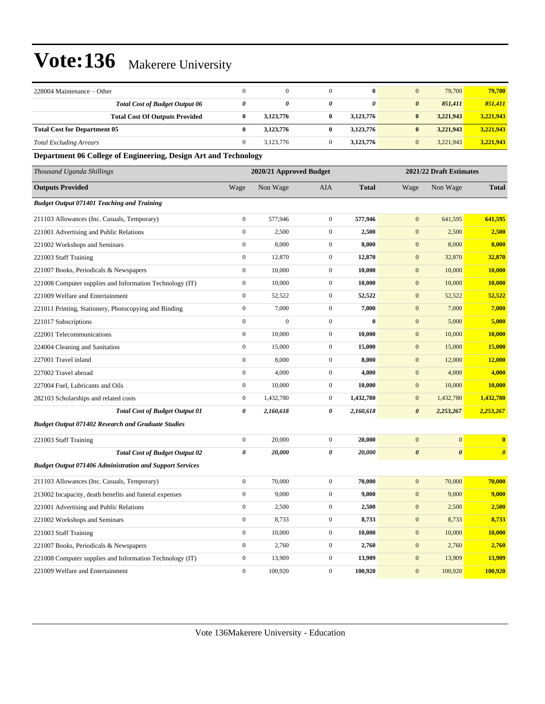| 228004 Maintenance – Other                                      | $\mathbf{0}$          | $\mathbf{0}$            | $\overline{0}$   | $\bf{0}$              | $\mathbf{0}$          | 79,700                  | 79,700                |
|-----------------------------------------------------------------|-----------------------|-------------------------|------------------|-----------------------|-----------------------|-------------------------|-----------------------|
| <b>Total Cost of Budget Output 06</b>                           | $\boldsymbol{\theta}$ | 0                       | 0                | $\boldsymbol{\theta}$ | $\boldsymbol{\theta}$ | 851,411                 | 851,411               |
| <b>Total Cost Of Outputs Provided</b>                           | $\bf{0}$              | 3,123,776               | 0                | 3,123,776             | $\bf{0}$              | 3,221,943               | 3,221,943             |
| <b>Total Cost for Department 05</b>                             | $\bf{0}$              | 3,123,776               | $\bf{0}$         | 3,123,776             | $\bf{0}$              | 3,221,943               | 3,221,943             |
| <b>Total Excluding Arrears</b>                                  | $\boldsymbol{0}$      | 3,123,776               | $\mathbf{0}$     | 3,123,776             | $\boldsymbol{0}$      | 3,221,943               | 3,221,943             |
| Department 06 College of Engineering, Design Art and Technology |                       |                         |                  |                       |                       |                         |                       |
| Thousand Uganda Shillings                                       |                       | 2020/21 Approved Budget |                  |                       |                       | 2021/22 Draft Estimates |                       |
| <b>Outputs Provided</b>                                         | Wage                  | Non Wage                | AIA              | <b>Total</b>          | Wage                  | Non Wage                | <b>Total</b>          |
| <b>Budget Output 071401 Teaching and Training</b>               |                       |                         |                  |                       |                       |                         |                       |
| 211103 Allowances (Inc. Casuals, Temporary)                     | $\mathbf{0}$          | 577,946                 | $\overline{0}$   | 577,946               | $\mathbf{0}$          | 641,595                 | 641,595               |
| 221001 Advertising and Public Relations                         | $\boldsymbol{0}$      | 2,500                   | $\boldsymbol{0}$ | 2,500                 | $\mathbf{0}$          | 2,500                   | 2,500                 |
| 221002 Workshops and Seminars                                   | $\boldsymbol{0}$      | 8,000                   | $\mathbf{0}$     | 8,000                 | $\mathbf{0}$          | 8,000                   | 8,000                 |
| 221003 Staff Training                                           | $\boldsymbol{0}$      | 12,870                  | $\mathbf{0}$     | 12,870                | $\boldsymbol{0}$      | 32,870                  | 32,870                |
| 221007 Books, Periodicals & Newspapers                          | $\boldsymbol{0}$      | 10,000                  | $\mathbf{0}$     | 10,000                | $\mathbf{0}$          | 10,000                  | 10,000                |
| 221008 Computer supplies and Information Technology (IT)        | $\mathbf{0}$          | 10,000                  | $\overline{0}$   | 10,000                | $\mathbf{0}$          | 10,000                  | 10,000                |
| 221009 Welfare and Entertainment                                | $\boldsymbol{0}$      | 52,522                  | $\mathbf{0}$     | 52,522                | $\mathbf{0}$          | 52,522                  | 52,522                |
| 221011 Printing, Stationery, Photocopying and Binding           | $\boldsymbol{0}$      | 7,000                   | $\mathbf{0}$     | 7,000                 | $\mathbf{0}$          | 7,000                   | 7,000                 |
| 221017 Subscriptions                                            | $\boldsymbol{0}$      | $\mathbf{0}$            | $\overline{0}$   | $\bf{0}$              | $\boldsymbol{0}$      | 5,000                   | 5,000                 |
| 222001 Telecommunications                                       | $\boldsymbol{0}$      | 10,000                  | $\mathbf{0}$     | 10,000                | $\mathbf{0}$          | 10,000                  | 10,000                |
| 224004 Cleaning and Sanitation                                  | $\mathbf{0}$          | 15,000                  | $\overline{0}$   | 15,000                | $\mathbf{0}$          | 15,000                  | 15,000                |
| 227001 Travel inland                                            | $\mathbf{0}$          | 8,000                   | $\mathbf{0}$     | 8,000                 | $\mathbf{0}$          | 12,000                  | 12,000                |
| 227002 Travel abroad                                            | $\boldsymbol{0}$      | 4,000                   | $\mathbf{0}$     | 4,000                 | $\mathbf{0}$          | 4,000                   | 4,000                 |
| 227004 Fuel, Lubricants and Oils                                | $\boldsymbol{0}$      | 10,000                  | $\mathbf{0}$     | 10,000                | $\mathbf{0}$          | 10,000                  | 10,000                |
| 282103 Scholarships and related costs                           | $\boldsymbol{0}$      | 1,432,780               | $\mathbf{0}$     | 1,432,780             | $\mathbf{0}$          | 1,432,780               | 1,432,780             |
| <b>Total Cost of Budget Output 01</b>                           | 0                     | 2,160,618               | 0                | 2,160,618             | $\boldsymbol{\theta}$ | 2,253,267               | 2,253,267             |
| <b>Budget Output 071402 Research and Graduate Studies</b>       |                       |                         |                  |                       |                       |                         |                       |
| 221003 Staff Training                                           | $\boldsymbol{0}$      | 20,000                  | $\mathbf{0}$     | 20,000                | $\mathbf{0}$          | $\mathbf{0}$            | $\bf{0}$              |
| <b>Total Cost of Budget Output 02</b>                           | 0                     | 20,000                  | 0                | 20,000                | $\boldsymbol{\theta}$ | $\boldsymbol{\theta}$   | $\boldsymbol{\theta}$ |
| <b>Budget Output 071406 Administration and Support Services</b> |                       |                         |                  |                       |                       |                         |                       |
| 211103 Allowances (Inc. Casuals, Temporary)                     | $\boldsymbol{0}$      | 70,000                  | $\boldsymbol{0}$ | 70,000                | $\mathbf{0}$          | 70,000                  | 70,000                |
| 213002 Incapacity, death benefits and funeral expenses          | $\boldsymbol{0}$      | 9,000                   | $\mathbf{0}$     | 9,000                 | $\mathbf{0}$          | 9,000                   | 9,000                 |
| 221001 Advertising and Public Relations                         | $\boldsymbol{0}$      | 2,500                   | $\boldsymbol{0}$ | 2,500                 | $\boldsymbol{0}$      | 2,500                   | 2,500                 |
| 221002 Workshops and Seminars                                   | $\boldsymbol{0}$      | 8,733                   | $\mathbf{0}$     | 8,733                 | $\boldsymbol{0}$      | 8,733                   | 8,733                 |
| 221003 Staff Training                                           | $\mathbf{0}$          | 10,000                  | $\boldsymbol{0}$ | 10,000                | $\mathbf{0}$          | 10,000                  | 10,000                |
| 221007 Books, Periodicals & Newspapers                          | $\mathbf{0}$          | 2,760                   | $\mathbf{0}$     | 2,760                 | $\boldsymbol{0}$      | 2,760                   | 2,760                 |
| 221008 Computer supplies and Information Technology (IT)        | $\boldsymbol{0}$      | 13,909                  | $\boldsymbol{0}$ | 13,909                | $\boldsymbol{0}$      | 13,909                  | 13,909                |
| 221009 Welfare and Entertainment                                | $\boldsymbol{0}$      | 100,920                 | $\boldsymbol{0}$ | 100,920               | $\mathbf{0}$          | 100,920                 | 100,920               |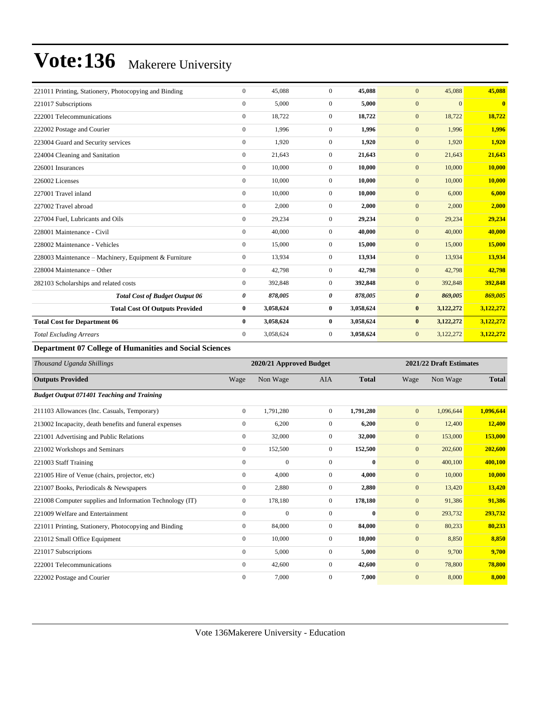| 221011 Printing, Stationery, Photocopying and Binding | $\mathbf{0}$ | 45,088    | $\Omega$         | 45,088    | 45,088<br>$\mathbf{0}$           | 45,088       |
|-------------------------------------------------------|--------------|-----------|------------------|-----------|----------------------------------|--------------|
| 221017 Subscriptions                                  | $\mathbf{0}$ | 5,000     | $\overline{0}$   | 5,000     | $\mathbf{0}$<br>$\mathbf{0}$     | $\mathbf{0}$ |
| 222001 Telecommunications                             | $\mathbf{0}$ | 18,722    | $\overline{0}$   | 18,722    | 18,722<br>$\mathbf{0}$           | 18,722       |
| 222002 Postage and Courier                            | $\mathbf{0}$ | 1,996     | $\overline{0}$   | 1.996     | 1,996<br>$\mathbf{0}$            | 1,996        |
| 223004 Guard and Security services                    | $\mathbf{0}$ | 1,920     | $\Omega$         | 1,920     | $\mathbf{0}$<br>1,920            | 1,920        |
| 224004 Cleaning and Sanitation                        | $\mathbf{0}$ | 21,643    | $\overline{0}$   | 21,643    | $\mathbf{0}$<br>21,643           | 21,643       |
| 226001 Insurances                                     | $\mathbf{0}$ | 10,000    | $\overline{0}$   | 10,000    | $\mathbf{0}$<br>10,000           | 10,000       |
| 226002 Licenses                                       | $\mathbf{0}$ | 10,000    | $\overline{0}$   | 10,000    | 10,000<br>$\mathbf{0}$           | 10,000       |
| 227001 Travel inland                                  | $\mathbf{0}$ | 10,000    | $\overline{0}$   | 10,000    | $\mathbf{0}$<br>6,000            | 6,000        |
| 227002 Travel abroad                                  | $\mathbf{0}$ | 2,000     | $\overline{0}$   | 2,000     | 2,000<br>$\mathbf{0}$            | 2,000        |
| 227004 Fuel, Lubricants and Oils                      | $\mathbf{0}$ | 29,234    | $\overline{0}$   | 29,234    | $\mathbf{0}$<br>29,234           | 29,234       |
| 228001 Maintenance - Civil                            | $\mathbf{0}$ | 40,000    | $\overline{0}$   | 40.000    | $\mathbf{0}$<br>40,000           | 40,000       |
| 228002 Maintenance - Vehicles                         | $\mathbf{0}$ | 15,000    | $\overline{0}$   | 15,000    | 15,000<br>$\mathbf{0}$           | 15,000       |
| 228003 Maintenance – Machinery, Equipment & Furniture | $\mathbf{0}$ | 13,934    | $\overline{0}$   | 13,934    | 13,934<br>$\mathbf{0}$           | 13,934       |
| 228004 Maintenance – Other                            | $\mathbf{0}$ | 42,798    | $\boldsymbol{0}$ | 42,798    | $\mathbf{0}$<br>42,798           | 42,798       |
| 282103 Scholarships and related costs                 | $\mathbf{0}$ | 392,848   | $\overline{0}$   | 392,848   | 392,848<br>$\mathbf{0}$          | 392,848      |
| <b>Total Cost of Budget Output 06</b>                 | 0            | 878,005   | 0                | 878,005   | 869,005<br>$\boldsymbol{\theta}$ | 869,005      |
| <b>Total Cost Of Outputs Provided</b>                 | $\mathbf{0}$ | 3,058,624 | $\bf{0}$         | 3,058,624 | $\bf{0}$<br>3,122,272            | 3,122,272    |
| <b>Total Cost for Department 06</b>                   | $\bf{0}$     | 3,058,624 | $\bf{0}$         | 3,058,624 | $\bf{0}$<br>3,122,272            | 3,122,272    |
| <b>Total Excluding Arrears</b>                        | $\mathbf{0}$ | 3,058,624 | $\overline{0}$   | 3,058,624 | $\mathbf{0}$<br>3,122,272        | 3,122,272    |

**Department 07 College of Humanities and Social Sciences**

| Thousand Uganda Shillings                                |                  | 2020/21 Approved Budget |                | 2021/22 Draft Estimates |              |           |              |
|----------------------------------------------------------|------------------|-------------------------|----------------|-------------------------|--------------|-----------|--------------|
| <b>Outputs Provided</b>                                  | Wage             | Non Wage                | <b>AIA</b>     | <b>Total</b>            | Wage         | Non Wage  | <b>Total</b> |
| <b>Budget Output 071401 Teaching and Training</b>        |                  |                         |                |                         |              |           |              |
| 211103 Allowances (Inc. Casuals, Temporary)              | $\mathbf{0}$     | 1,791,280               | $\overline{0}$ | 1,791,280               | $\mathbf{0}$ | 1,096,644 | 1,096,644    |
| 213002 Incapacity, death benefits and funeral expenses   | $\mathbf{0}$     | 6,200                   | 0              | 6,200                   | $\mathbf{0}$ | 12,400    | 12,400       |
| 221001 Advertising and Public Relations                  | $\mathbf{0}$     | 32,000                  | $\overline{0}$ | 32,000                  | $\mathbf{0}$ | 153,000   | 153,000      |
| 221002 Workshops and Seminars                            | $\mathbf{0}$     | 152,500                 | $\overline{0}$ | 152,500                 | $\mathbf{0}$ | 202,600   | 202,600      |
| 221003 Staff Training                                    | $\mathbf{0}$     | $\mathbf{0}$            | $\Omega$       | $\mathbf{0}$            | $\mathbf{0}$ | 400,100   | 400,100      |
| 221005 Hire of Venue (chairs, projector, etc)            | $\mathbf{0}$     | 4,000                   | $\overline{0}$ | 4,000                   | $\mathbf{0}$ | 10,000    | 10,000       |
| 221007 Books, Periodicals & Newspapers                   | $\boldsymbol{0}$ | 2,880                   | 0              | 2,880                   | $\mathbf{0}$ | 13,420    | 13,420       |
| 221008 Computer supplies and Information Technology (IT) | $\mathbf{0}$     | 178,180                 | $\overline{0}$ | 178,180                 | $\mathbf{0}$ | 91,386    | 91,386       |
| 221009 Welfare and Entertainment                         | $\mathbf{0}$     | $\mathbf{0}$            | $\mathbf{0}$   | $\bf{0}$                | $\mathbf{0}$ | 293,732   | 293,732      |
| 221011 Printing, Stationery, Photocopying and Binding    | $\mathbf{0}$     | 84,000                  | $\overline{0}$ | 84,000                  | $\mathbf{0}$ | 80,233    | 80,233       |
| 221012 Small Office Equipment                            | $\mathbf{0}$     | 10,000                  | $\overline{0}$ | 10,000                  | $\mathbf{0}$ | 8,850     | 8,850        |
| 221017 Subscriptions                                     | $\mathbf{0}$     | 5,000                   | $\overline{0}$ | 5,000                   | $\mathbf{0}$ | 9,700     | 9,700        |
| 222001 Telecommunications                                | $\mathbf{0}$     | 42,600                  | $\overline{0}$ | 42,600                  | $\mathbf{0}$ | 78,800    | 78,800       |
| 222002 Postage and Courier                               | $\mathbf{0}$     | 7,000                   | $\Omega$       | 7.000                   | $\mathbf{0}$ | 8,000     | 8.000        |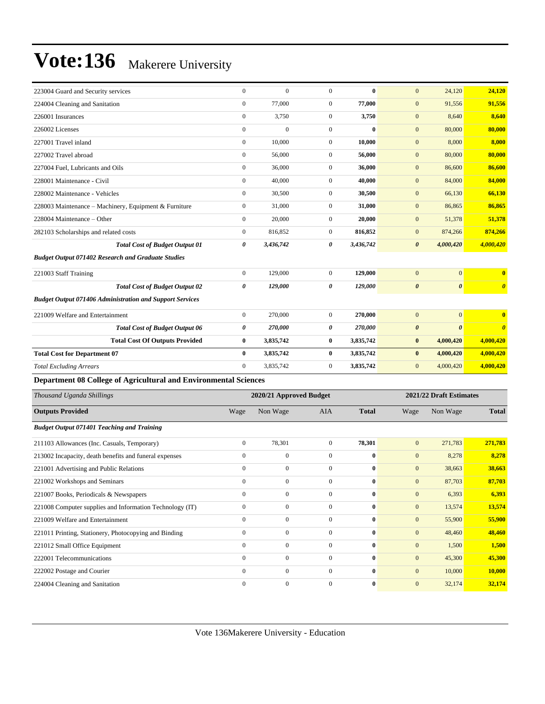| 223004 Guard and Security services                               | $\mathbf{0}$ | $\mathbf{0}$ | $\overline{0}$ | $\bf{0}$  | $\mathbf{0}$<br>24,120                         | 24,120                |
|------------------------------------------------------------------|--------------|--------------|----------------|-----------|------------------------------------------------|-----------------------|
| 224004 Cleaning and Sanitation                                   | $\mathbf{0}$ | 77,000       | $\overline{0}$ | 77,000    | $\mathbf{0}$<br>91,556                         | 91,556                |
| 226001 Insurances                                                | $\mathbf{0}$ | 3,750        | $\overline{0}$ | 3,750     | $\mathbf{0}$<br>8,640                          | 8,640                 |
| 226002 Licenses                                                  | $\mathbf{0}$ | $\mathbf{0}$ | $\overline{0}$ | $\bf{0}$  | 80,000<br>$\mathbf{0}$                         | 80,000                |
| 227001 Travel inland                                             | $\mathbf{0}$ | 10,000       | $\overline{0}$ | 10.000    | $\mathbf{0}$<br>8,000                          | 8,000                 |
| 227002 Travel abroad                                             | $\Omega$     | 56,000       | $\overline{0}$ | 56,000    | $\mathbf{0}$<br>80,000                         | 80,000                |
| 227004 Fuel, Lubricants and Oils                                 | $\mathbf{0}$ | 36,000       | $\overline{0}$ | 36,000    | $\mathbf{0}$<br>86,600                         | 86,600                |
| 228001 Maintenance - Civil                                       | $\mathbf{0}$ | 40,000       | $\overline{0}$ | 40,000    | 84,000<br>$\mathbf{0}$                         | 84,000                |
| 228002 Maintenance - Vehicles                                    | $\mathbf{0}$ | 30,500       | $\overline{0}$ | 30,500    | 66,130<br>$\mathbf{0}$                         | 66,130                |
| 228003 Maintenance – Machinery, Equipment & Furniture            | $\mathbf{0}$ | 31,000       | $\overline{0}$ | 31,000    | $\mathbf{0}$<br>86,865                         | 86,865                |
| 228004 Maintenance - Other                                       | $\mathbf{0}$ | 20,000       | $\overline{0}$ | 20,000    | $\mathbf{0}$<br>51,378                         | 51,378                |
| 282103 Scholarships and related costs                            | $\mathbf{0}$ | 816,852      | $\overline{0}$ | 816,852   | $\mathbf{0}$<br>874,266                        | 874,266               |
| <b>Total Cost of Budget Output 01</b>                            | 0            | 3,436,742    | 0              | 3,436,742 | 4,000,420<br>$\boldsymbol{\theta}$             | 4,000,420             |
| <b>Budget Output 071402 Research and Graduate Studies</b>        |              |              |                |           |                                                |                       |
| 221003 Staff Training                                            | $\mathbf{0}$ | 129,000      | $\overline{0}$ | 129,000   | $\overline{0}$<br>$\mathbf{0}$                 | $\overline{0}$        |
| <b>Total Cost of Budget Output 02</b>                            | 0            | 129,000      | 0              | 129,000   | $\boldsymbol{\theta}$<br>$\boldsymbol{\theta}$ | $\boldsymbol{\theta}$ |
| <b>Budget Output 071406 Administration and Support Services</b>  |              |              |                |           |                                                |                       |
| 221009 Welfare and Entertainment                                 | $\mathbf{0}$ | 270,000      | $\overline{0}$ | 270,000   | $\mathbf{0}$<br>$\mathbf{0}$                   | $\bf{0}$              |
| <b>Total Cost of Budget Output 06</b>                            | 0            | 270,000      | 0              | 270,000   | $\boldsymbol{\theta}$<br>$\boldsymbol{\theta}$ | $\boldsymbol{\theta}$ |
| <b>Total Cost Of Outputs Provided</b>                            | $\bf{0}$     | 3,835,742    | $\bf{0}$       | 3,835,742 | 4,000,420<br>$\bf{0}$                          | 4,000,420             |
| <b>Total Cost for Department 07</b>                              | $\mathbf{0}$ | 3,835,742    | $\bf{0}$       | 3,835,742 | $\bf{0}$<br>4,000,420                          | 4,000,420             |
| <b>Total Excluding Arrears</b>                                   | $\mathbf{0}$ | 3,835,742    | $\mathbf{0}$   | 3,835,742 | $\mathbf{0}$<br>4,000,420                      | 4,000,420             |
| Department 08 College of Agricultural and Environmental Sciences |              |              |                |           |                                                |                       |

| Thousand Uganda Shillings                                | 2020/21 Approved Budget |              |                |              | 2021/22 Draft Estimates |          |              |  |
|----------------------------------------------------------|-------------------------|--------------|----------------|--------------|-------------------------|----------|--------------|--|
| <b>Outputs Provided</b>                                  | Wage                    | Non Wage     | <b>AIA</b>     | <b>Total</b> | Wage                    | Non Wage | <b>Total</b> |  |
| <b>Budget Output 071401 Teaching and Training</b>        |                         |              |                |              |                         |          |              |  |
| 211103 Allowances (Inc. Casuals, Temporary)              | $\boldsymbol{0}$        | 78,301       | $\overline{0}$ | 78,301       | $\mathbf{0}$            | 271,783  | 271,783      |  |
| 213002 Incapacity, death benefits and funeral expenses   | $\mathbf{0}$            | $\mathbf{0}$ | $\mathbf{0}$   | $\bf{0}$     | $\mathbf{0}$            | 8,278    | 8,278        |  |
| 221001 Advertising and Public Relations                  | $\mathbf{0}$            | $\mathbf{0}$ | $\mathbf{0}$   | $\bf{0}$     | $\mathbf{0}$            | 38,663   | 38,663       |  |
| 221002 Workshops and Seminars                            | $\mathbf{0}$            | $\mathbf{0}$ | $\mathbf{0}$   | $\bf{0}$     | $\mathbf{0}$            | 87,703   | 87,703       |  |
| 221007 Books, Periodicals & Newspapers                   | $\mathbf{0}$            | $\mathbf{0}$ | $\mathbf{0}$   | $\bf{0}$     | $\mathbf{0}$            | 6,393    | 6,393        |  |
| 221008 Computer supplies and Information Technology (IT) | $\mathbf{0}$            | $\mathbf{0}$ | $\mathbf{0}$   | $\bf{0}$     | $\mathbf{0}$            | 13,574   | 13,574       |  |
| 221009 Welfare and Entertainment                         | $\mathbf{0}$            | $\mathbf{0}$ | $\mathbf{0}$   | $\bf{0}$     | $\mathbf{0}$            | 55,900   | 55,900       |  |
| 221011 Printing, Stationery, Photocopying and Binding    | $\mathbf{0}$            | $\mathbf{0}$ | $\mathbf{0}$   | $\bf{0}$     | $\mathbf{0}$            | 48,460   | 48,460       |  |
| 221012 Small Office Equipment                            | $\mathbf{0}$            | $\mathbf{0}$ | $\mathbf{0}$   | $\bf{0}$     | $\mathbf{0}$            | 1,500    | 1,500        |  |
| 222001 Telecommunications                                | $\mathbf{0}$            | $\mathbf{0}$ | $\mathbf{0}$   | $\bf{0}$     | $\mathbf{0}$            | 45,300   | 45,300       |  |
| 222002 Postage and Courier                               | $\mathbf{0}$            | $\mathbf{0}$ | $\mathbf{0}$   | $\bf{0}$     | $\mathbf{0}$            | 10,000   | 10,000       |  |
| 224004 Cleaning and Sanitation                           | $\mathbf{0}$            | $\mathbf{0}$ | $\mathbf{0}$   | $\bf{0}$     | $\mathbf{0}$            | 32,174   | 32,174       |  |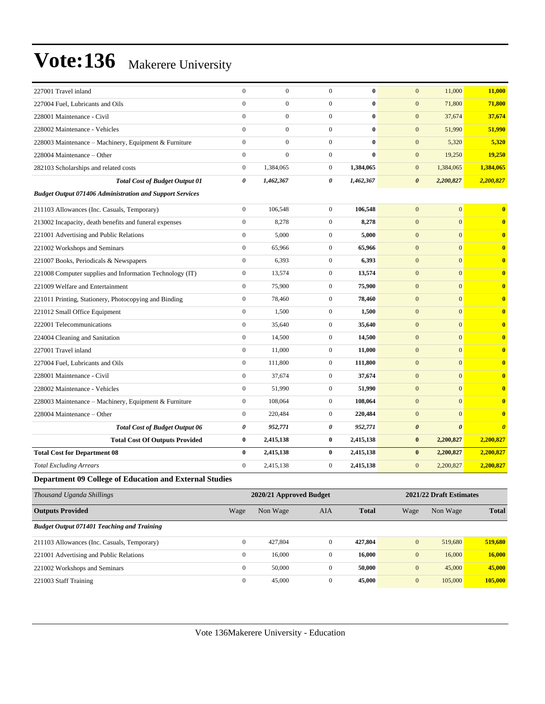| 227001 Travel inland                                            | $\mathbf{0}$          | $\mathbf{0}$            | $\mathbf{0}$     | $\bf{0}$     | 11,000<br>$\mathbf{0}$             | 11,000                                         |
|-----------------------------------------------------------------|-----------------------|-------------------------|------------------|--------------|------------------------------------|------------------------------------------------|
| 227004 Fuel, Lubricants and Oils                                | $\mathbf{0}$          | $\mathbf{0}$            | $\mathbf{0}$     | $\bf{0}$     | $\mathbf{0}$<br>71,800             | 71,800                                         |
| 228001 Maintenance - Civil                                      | $\mathbf{0}$          | $\boldsymbol{0}$        | $\mathbf{0}$     | $\bf{0}$     | $\mathbf{0}$<br>37,674             | 37,674                                         |
| 228002 Maintenance - Vehicles                                   | $\mathbf{0}$          | $\mathbf{0}$            | $\mathbf{0}$     | $\bf{0}$     | $\overline{0}$<br>51,990           | 51,990                                         |
| 228003 Maintenance - Machinery, Equipment & Furniture           | $\overline{0}$        | $\boldsymbol{0}$        | $\mathbf{0}$     | $\bf{0}$     | $\mathbf{0}$<br>5,320              | 5,320                                          |
| 228004 Maintenance - Other                                      | $\mathbf{0}$          | $\mathbf{0}$            | $\mathbf{0}$     | $\mathbf{0}$ | $\mathbf{0}$<br>19,250             | 19,250                                         |
| 282103 Scholarships and related costs                           | $\mathbf{0}$          | 1,384,065               | $\mathbf{0}$     | 1,384,065    | $\mathbf{0}$<br>1,384,065          | 1,384,065                                      |
| <b>Total Cost of Budget Output 01</b>                           | $\boldsymbol{\theta}$ | 1,462,367               | 0                | 1,462,367    | $\boldsymbol{\theta}$<br>2,200,827 | 2,200,827                                      |
| <b>Budget Output 071406 Administration and Support Services</b> |                       |                         |                  |              |                                    |                                                |
| 211103 Allowances (Inc. Casuals, Temporary)                     | $\boldsymbol{0}$      | 106,548                 | $\boldsymbol{0}$ | 106,548      | $\mathbf{0}$                       | $\overline{0}$<br>$\bf{0}$                     |
| 213002 Incapacity, death benefits and funeral expenses          | $\overline{0}$        | 8,278                   | $\mathbf{0}$     | 8,278        | $\mathbf{0}$                       | $\overline{0}$<br>$\mathbf{0}$                 |
| 221001 Advertising and Public Relations                         | $\boldsymbol{0}$      | 5,000                   | $\mathbf{0}$     | 5,000        | $\mathbf{0}$                       | $\overline{0}$<br>$\bf{0}$                     |
| 221002 Workshops and Seminars                                   | $\overline{0}$        | 65,966                  | $\boldsymbol{0}$ | 65,966       | $\mathbf{0}$                       | $\overline{0}$<br>$\bf{0}$                     |
| 221007 Books, Periodicals & Newspapers                          | $\boldsymbol{0}$      | 6,393                   | $\boldsymbol{0}$ | 6,393        | $\mathbf{0}$                       | $\Omega$<br>$\bf{0}$                           |
| 221008 Computer supplies and Information Technology (IT)        | $\boldsymbol{0}$      | 13,574                  | $\mathbf{0}$     | 13,574       | $\mathbf{0}$                       | $\overline{0}$<br>$\bf{0}$                     |
| 221009 Welfare and Entertainment                                | $\mathbf{0}$          | 75,900                  | $\mathbf{0}$     | 75,900       | $\overline{0}$                     | $\Omega$<br>$\bf{0}$                           |
| 221011 Printing, Stationery, Photocopying and Binding           | $\mathbf{0}$          | 78,460                  | $\boldsymbol{0}$ | 78,460       | $\mathbf{0}$                       | $\overline{0}$<br>$\bf{0}$                     |
| 221012 Small Office Equipment                                   | $\mathbf{0}$          | 1,500                   | $\mathbf{0}$     | 1,500        | $\overline{0}$                     | $\Omega$<br>$\overline{\mathbf{0}}$            |
| 222001 Telecommunications                                       | $\overline{0}$        | 35,640                  | $\boldsymbol{0}$ | 35,640       | $\mathbf{0}$                       | $\overline{0}$<br>$\bf{0}$                     |
| 224004 Cleaning and Sanitation                                  | $\mathbf{0}$          | 14,500                  | $\overline{0}$   | 14,500       | $\mathbf{0}$                       | $\overline{0}$<br>$\bf{0}$                     |
| 227001 Travel inland                                            | $\boldsymbol{0}$      | 11,000                  | $\boldsymbol{0}$ | 11,000       | $\mathbf{0}$                       | $\Omega$<br>$\bf{0}$                           |
| 227004 Fuel, Lubricants and Oils                                | $\mathbf{0}$          | 111,800                 | $\boldsymbol{0}$ | 111,800      | $\mathbf{0}$                       | $\overline{0}$<br>$\bf{0}$                     |
| 228001 Maintenance - Civil                                      | $\mathbf{0}$          | 37,674                  | $\mathbf{0}$     | 37,674       | $\mathbf{0}$                       | $\overline{0}$<br>$\bf{0}$                     |
| 228002 Maintenance - Vehicles                                   | $\mathbf{0}$          | 51,990                  | $\mathbf{0}$     | 51,990       | $\overline{0}$                     | $\Omega$<br>$\overline{\mathbf{0}}$            |
| 228003 Maintenance - Machinery, Equipment & Furniture           | $\boldsymbol{0}$      | 108,064                 | $\mathbf{0}$     | 108,064      | $\mathbf{0}$                       | $\overline{0}$<br>$\bf{0}$                     |
| 228004 Maintenance – Other                                      | $\overline{0}$        | 220,484                 | $\mathbf{0}$     | 220,484      | $\mathbf{0}$                       | $\overline{0}$<br>$\bf{0}$                     |
| <b>Total Cost of Budget Output 06</b>                           | $\pmb{\theta}$        | 952,771                 | 0                | 952,771      | $\boldsymbol{\theta}$              | $\boldsymbol{\theta}$<br>$\boldsymbol{\theta}$ |
| <b>Total Cost Of Outputs Provided</b>                           | $\bf{0}$              | 2,415,138               | $\bf{0}$         | 2,415,138    | $\bf{0}$<br>2,200,827              | 2,200,827                                      |
| <b>Total Cost for Department 08</b>                             | $\bf{0}$              | 2,415,138               | $\bf{0}$         | 2,415,138    | $\bf{0}$<br>2,200,827              | 2,200,827                                      |
| <b>Total Excluding Arrears</b>                                  | $\mathbf{0}$          | 2,415,138               | $\mathbf{0}$     | 2,415,138    | $\overline{0}$<br>2,200,827        | 2,200,827                                      |
| Department 09 College of Education and External Studies         |                       |                         |                  |              |                                    |                                                |
| <b>Thousand Uganda Shillings</b>                                |                       | 2020/21 Approved Budget |                  |              | 2021/22 Draft Estimates            |                                                |

| Thousand Uganda Shillings                         |              | 2020/21 Approved Budget |          |              | 2021/22 Draft Estimates |          |              |  |
|---------------------------------------------------|--------------|-------------------------|----------|--------------|-------------------------|----------|--------------|--|
| <b>Outputs Provided</b>                           | Wage         | Non Wage                | AIA      | <b>Total</b> | Wage                    | Non Wage | <b>Total</b> |  |
| <b>Budget Output 071401 Teaching and Training</b> |              |                         |          |              |                         |          |              |  |
| 211103 Allowances (Inc. Casuals, Temporary)       | $\Omega$     | 427,804                 | $\Omega$ | 427,804      | $\mathbf{0}$            | 519,680  | 519,680      |  |
| 221001 Advertising and Public Relations           | $\mathbf{0}$ | 16,000                  | $\Omega$ | 16.000       | $\mathbf{0}$            | 16,000   | 16,000       |  |
| 221002 Workshops and Seminars                     | $\Omega$     | 50,000                  | $\Omega$ | 50.000       | $\mathbf{0}$            | 45,000   | 45,000       |  |
| 221003 Staff Training                             | $\mathbf{0}$ | 45,000                  | $\Omega$ | 45,000       | $\mathbf{0}$            | 105,000  | 105,000      |  |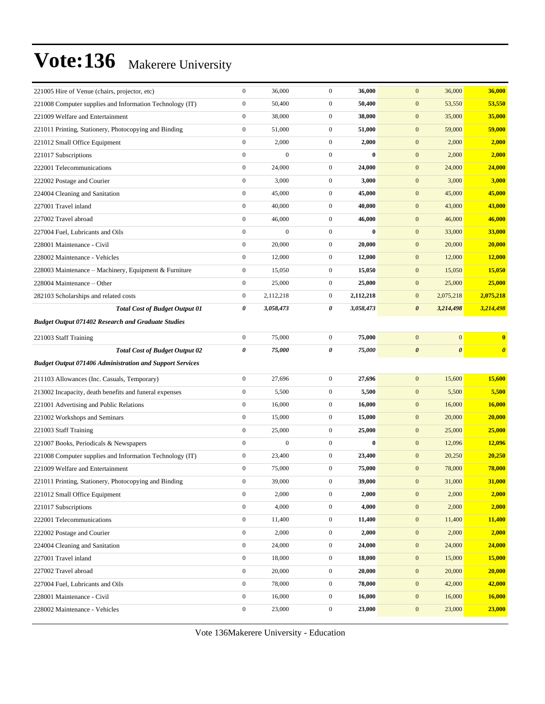| 221005 Hire of Venue (chairs, projector, etc)                   | $\boldsymbol{0}$ | 36,000           | $\mathbf{0}$     | 36,000    | $\mathbf{0}$<br>36,000                         | 36,000                |
|-----------------------------------------------------------------|------------------|------------------|------------------|-----------|------------------------------------------------|-----------------------|
| 221008 Computer supplies and Information Technology (IT)        | $\boldsymbol{0}$ | 50,400           | $\boldsymbol{0}$ | 50,400    | $\boldsymbol{0}$<br>53,550                     | 53,550                |
| 221009 Welfare and Entertainment                                | $\boldsymbol{0}$ | 38,000           | $\mathbf{0}$     | 38,000    | $\boldsymbol{0}$<br>35,000                     | 35,000                |
| 221011 Printing, Stationery, Photocopying and Binding           | $\boldsymbol{0}$ | 51,000           | $\boldsymbol{0}$ | 51,000    | $\boldsymbol{0}$<br>59,000                     | 59,000                |
| 221012 Small Office Equipment                                   | $\boldsymbol{0}$ | 2,000            | $\mathbf{0}$     | 2,000     | $\mathbf{0}$<br>2,000                          | 2,000                 |
| 221017 Subscriptions                                            | $\boldsymbol{0}$ | $\mathbf{0}$     | $\boldsymbol{0}$ | $\bf{0}$  | $\boldsymbol{0}$<br>2,000                      | 2,000                 |
| 222001 Telecommunications                                       | $\boldsymbol{0}$ | 24,000           | $\mathbf{0}$     | 24,000    | $\mathbf{0}$<br>24,000                         | 24,000                |
| 222002 Postage and Courier                                      | $\boldsymbol{0}$ | 3,000            | $\mathbf{0}$     | 3,000     | $\boldsymbol{0}$<br>3,000                      | 3,000                 |
| 224004 Cleaning and Sanitation                                  | $\boldsymbol{0}$ | 45,000           | $\mathbf{0}$     | 45,000    | $\boldsymbol{0}$<br>45,000                     | 45,000                |
| 227001 Travel inland                                            | $\boldsymbol{0}$ | 40,000           | $\mathbf{0}$     | 40,000    | $\mathbf{0}$<br>43,000                         | 43,000                |
| 227002 Travel abroad                                            | $\boldsymbol{0}$ | 46,000           | $\mathbf{0}$     | 46,000    | $\boldsymbol{0}$<br>46,000                     | 46,000                |
| 227004 Fuel, Lubricants and Oils                                | $\boldsymbol{0}$ | $\boldsymbol{0}$ | $\mathbf{0}$     | $\bf{0}$  | $\mathbf{0}$<br>33,000                         | 33,000                |
| 228001 Maintenance - Civil                                      | $\boldsymbol{0}$ | 20,000           | $\mathbf{0}$     | 20,000    | $\boldsymbol{0}$<br>20,000                     | 20,000                |
| 228002 Maintenance - Vehicles                                   | $\boldsymbol{0}$ | 12,000           | $\mathbf{0}$     | 12,000    | $\boldsymbol{0}$<br>12,000                     | 12,000                |
| 228003 Maintenance - Machinery, Equipment & Furniture           | $\boldsymbol{0}$ | 15,050           | $\mathbf{0}$     | 15,050    | $\boldsymbol{0}$<br>15,050                     | 15,050                |
| 228004 Maintenance - Other                                      | $\boldsymbol{0}$ | 25,000           | $\mathbf{0}$     | 25,000    | $\boldsymbol{0}$<br>25,000                     | 25,000                |
| 282103 Scholarships and related costs                           | $\boldsymbol{0}$ | 2,112,218        | $\mathbf{0}$     | 2,112,218 | 2,075,218<br>$\boldsymbol{0}$                  | 2,075,218             |
| <b>Total Cost of Budget Output 01</b>                           | 0                | 3,058,473        | 0                | 3,058,473 | $\boldsymbol{\theta}$<br>3,214,498             | 3,214,498             |
| <b>Budget Output 071402 Research and Graduate Studies</b>       |                  |                  |                  |           |                                                |                       |
| 221003 Staff Training                                           | $\boldsymbol{0}$ | 75,000           | $\boldsymbol{0}$ | 75,000    | $\mathbf{0}$<br>$\boldsymbol{0}$               | $\bf{0}$              |
| <b>Total Cost of Budget Output 02</b>                           | 0                | 75,000           | 0                | 75,000    | $\boldsymbol{\theta}$<br>$\boldsymbol{\theta}$ | $\boldsymbol{\theta}$ |
| <b>Budget Output 071406 Administration and Support Services</b> |                  |                  |                  |           |                                                |                       |
|                                                                 |                  |                  |                  |           |                                                |                       |
| 211103 Allowances (Inc. Casuals, Temporary)                     | $\boldsymbol{0}$ | 27,696           | $\boldsymbol{0}$ | 27,696    | $\mathbf{0}$<br>15,600                         | 15,600                |
| 213002 Incapacity, death benefits and funeral expenses          | $\boldsymbol{0}$ | 5,500            | $\mathbf{0}$     | 5,500     | $\mathbf{0}$<br>5,500                          | 5,500                 |
| 221001 Advertising and Public Relations                         | $\boldsymbol{0}$ | 16,000           | $\mathbf{0}$     | 16,000    | $\boldsymbol{0}$<br>16,000                     | 16,000                |
| 221002 Workshops and Seminars                                   | $\boldsymbol{0}$ | 15,000           | $\mathbf{0}$     | 15,000    | $\boldsymbol{0}$<br>20,000                     | 20,000                |
| 221003 Staff Training                                           | $\boldsymbol{0}$ | 25,000           | $\mathbf{0}$     | 25,000    | $\mathbf{0}$<br>25,000                         | 25,000                |
| 221007 Books, Periodicals & Newspapers                          | $\boldsymbol{0}$ | $\boldsymbol{0}$ | $\mathbf{0}$     | $\bf{0}$  | $\boldsymbol{0}$<br>12,096                     | 12,096                |
| 221008 Computer supplies and Information Technology (IT)        | $\boldsymbol{0}$ | 23,400           | $\mathbf{0}$     | 23,400    | $\boldsymbol{0}$<br>20,250                     | 20,250                |
| 221009 Welfare and Entertainment                                | $\boldsymbol{0}$ | 75,000           | $\boldsymbol{0}$ | 75,000    | $\mathbf{0}$<br>78,000                         | 78,000                |
| 221011 Printing, Stationery, Photocopying and Binding           | $\boldsymbol{0}$ | 39,000           | $\boldsymbol{0}$ | 39,000    | 31,000<br>$\boldsymbol{0}$                     | 31,000                |
| 221012 Small Office Equipment                                   | $\boldsymbol{0}$ | 2,000            | $\boldsymbol{0}$ | 2,000     | $\mathbf{0}$<br>2,000                          | 2,000                 |
| 221017 Subscriptions                                            | $\boldsymbol{0}$ | 4,000            | $\boldsymbol{0}$ | 4,000     | $\boldsymbol{0}$<br>2,000                      | 2,000                 |
| 222001 Telecommunications                                       | $\boldsymbol{0}$ | 11,400           | $\boldsymbol{0}$ | 11,400    | $\boldsymbol{0}$<br>11,400                     | 11,400                |
| 222002 Postage and Courier                                      | $\boldsymbol{0}$ | 2,000            | $\boldsymbol{0}$ | 2,000     | $\mathbf{0}$<br>2,000                          | 2,000                 |
| 224004 Cleaning and Sanitation                                  | $\boldsymbol{0}$ | 24,000           | $\boldsymbol{0}$ | 24,000    | $\boldsymbol{0}$<br>24,000                     | 24,000                |
| 227001 Travel inland                                            | $\boldsymbol{0}$ | 18,000           | $\boldsymbol{0}$ | 18,000    | $\mathbf{0}$<br>15,000                         | 15,000                |
| 227002 Travel abroad                                            | $\boldsymbol{0}$ | 20,000           | $\boldsymbol{0}$ | 20,000    | 20,000<br>$\boldsymbol{0}$                     | 20,000                |
| 227004 Fuel, Lubricants and Oils                                | $\mathbf{0}$     | 78,000           | $\boldsymbol{0}$ | 78,000    | $\mathbf{0}$<br>42,000                         | 42,000                |
| 228001 Maintenance - Civil                                      | $\boldsymbol{0}$ | 16,000           | $\mathbf{0}$     | 16,000    | $\mathbf{0}$<br>16,000                         | 16,000<br>23,000      |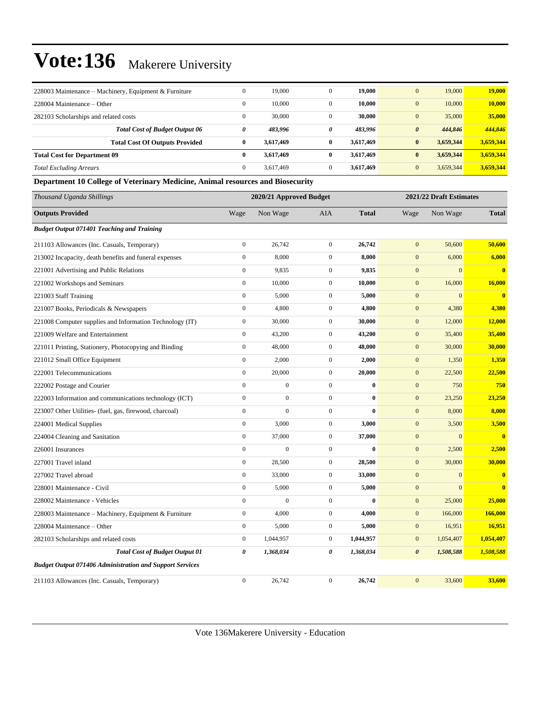| 228003 Maintenance – Machinery, Equipment & Furniture | $\mathbf{0}$ | 19,000    | $\Omega$     | 19,000    | 19,000<br>$\mathbf{0}$           | 19,000    |
|-------------------------------------------------------|--------------|-----------|--------------|-----------|----------------------------------|-----------|
| 228004 Maintenance – Other                            | $\mathbf{0}$ | 10.000    |              | 10.000    | 10,000<br>$\mathbf{0}$           | 10,000    |
| 282103 Scholarships and related costs                 | $\mathbf{0}$ | 30,000    |              | 30,000    | 35,000<br>$\mathbf{0}$           | 35,000    |
| <b>Total Cost of Budget Output 06</b>                 | 0            | 483.996   | 0            | 483.996   | 444,846<br>$\boldsymbol{\theta}$ | 444.846   |
| <b>Total Cost Of Outputs Provided</b>                 | $\bf{0}$     | 3,617,469 | $\mathbf{0}$ | 3.617.469 | 3,659,344<br>$\bf{0}$            | 3,659,344 |
| <b>Total Cost for Department 09</b>                   | $\mathbf{0}$ | 3,617,469 | $\mathbf{0}$ | 3.617.469 | 3,659,344<br>$\bf{0}$            | 3,659,344 |
| <b>Total Excluding Arrears</b>                        | $\mathbf{0}$ | 3.617.469 |              | 3.617.469 | 3,659,344<br>$\mathbf{0}$        | 3,659,344 |

#### **Department 10 College of Veterinary Medicine, Animal resources and Biosecurity**

| Thousand Uganda Shillings                                       |                  |                | 2020/21 Approved Budget<br>2021/22 Draft Estimates |              |                       |                |                         |  |
|-----------------------------------------------------------------|------------------|----------------|----------------------------------------------------|--------------|-----------------------|----------------|-------------------------|--|
| <b>Outputs Provided</b>                                         | Wage             | Non Wage       | <b>AIA</b>                                         | <b>Total</b> | Wage                  | Non Wage       | <b>Total</b>            |  |
| <b>Budget Output 071401 Teaching and Training</b>               |                  |                |                                                    |              |                       |                |                         |  |
| 211103 Allowances (Inc. Casuals, Temporary)                     | $\boldsymbol{0}$ | 26,742         | $\overline{0}$                                     | 26,742       | $\mathbf{0}$          | 50,600         | 50,600                  |  |
| 213002 Incapacity, death benefits and funeral expenses          | $\overline{0}$   | 8,000          | $\overline{0}$                                     | 8,000        | $\overline{0}$        | 6,000          | 6,000                   |  |
| 221001 Advertising and Public Relations                         | $\overline{0}$   | 9,835          | $\overline{0}$                                     | 9,835        | $\mathbf{0}$          | $\overline{0}$ | $\mathbf{0}$            |  |
| 221002 Workshops and Seminars                                   | $\boldsymbol{0}$ | 10,000         | $\overline{0}$                                     | 10,000       | $\mathbf{0}$          | 16,000         | 16,000                  |  |
| 221003 Staff Training                                           | $\boldsymbol{0}$ | 5,000          | $\overline{0}$                                     | 5,000        | $\boldsymbol{0}$      | $\mathbf{0}$   | $\mathbf{0}$            |  |
| 221007 Books, Periodicals & Newspapers                          | $\boldsymbol{0}$ | 4,800          | $\mathbf{0}$                                       | 4,800        | $\mathbf{0}$          | 4,380          | 4,380                   |  |
| 221008 Computer supplies and Information Technology (IT)        | $\overline{0}$   | 30,000         | $\overline{0}$                                     | 30,000       | $\mathbf{0}$          | 12,000         | <b>12,000</b>           |  |
| 221009 Welfare and Entertainment                                | $\overline{0}$   | 43,200         | $\overline{0}$                                     | 43,200       | $\mathbf{0}$          | 35,400         | 35,400                  |  |
| 221011 Printing, Stationery, Photocopying and Binding           | $\overline{0}$   | 48,000         | $\overline{0}$                                     | 48,000       | $\mathbf{0}$          | 30,000         | 30,000                  |  |
| 221012 Small Office Equipment                                   | $\boldsymbol{0}$ | 2,000          | $\overline{0}$                                     | 2,000        | $\mathbf{0}$          | 1,350          | 1,350                   |  |
| 222001 Telecommunications                                       | $\boldsymbol{0}$ | 20,000         | $\mathbf{0}$                                       | 20,000       | $\mathbf{0}$          | 22,500         | 22,500                  |  |
| 222002 Postage and Courier                                      | $\overline{0}$   | $\overline{0}$ | $\overline{0}$                                     | $\bf{0}$     | $\mathbf{0}$          | 750            | 750                     |  |
| 222003 Information and communications technology (ICT)          | $\overline{0}$   | $\overline{0}$ | $\overline{0}$                                     | $\mathbf{0}$ | $\mathbf{0}$          | 23,250         | 23,250                  |  |
| 223007 Other Utilities- (fuel, gas, firewood, charcoal)         | $\overline{0}$   | $\overline{0}$ | $\overline{0}$                                     | $\bf{0}$     | $\mathbf{0}$          | 8,000          | 8,000                   |  |
| 224001 Medical Supplies                                         | $\overline{0}$   | 3,000          | $\overline{0}$                                     | 3,000        | $\mathbf{0}$          | 3,500          | 3,500                   |  |
| 224004 Cleaning and Sanitation                                  | $\boldsymbol{0}$ | 37,000         | $\overline{0}$                                     | 37,000       | $\boldsymbol{0}$      | $\mathbf{0}$   | $\overline{\mathbf{0}}$ |  |
| 226001 Insurances                                               | $\boldsymbol{0}$ | $\overline{0}$ | $\overline{0}$                                     | $\bf{0}$     | $\mathbf{0}$          | 2,500          | 2,500                   |  |
| 227001 Travel inland                                            | $\overline{0}$   | 28,500         | $\overline{0}$                                     | 28,500       | $\mathbf{0}$          | 30,000         | 30,000                  |  |
| 227002 Travel abroad                                            | $\overline{0}$   | 33,000         | $\overline{0}$                                     | 33,000       | $\mathbf{0}$          | $\mathbf{0}$   | $\mathbf{0}$            |  |
| 228001 Maintenance - Civil                                      | $\overline{0}$   | 5,000          | $\overline{0}$                                     | 5,000        | $\mathbf{0}$          | $\overline{0}$ | $\mathbf{0}$            |  |
| 228002 Maintenance - Vehicles                                   | $\boldsymbol{0}$ | $\overline{0}$ | $\overline{0}$                                     | $\mathbf{0}$ | $\boldsymbol{0}$      | 25,000         | 25,000                  |  |
| 228003 Maintenance - Machinery, Equipment & Furniture           | $\mathbf{0}$     | 4,000          | $\mathbf{0}$                                       | 4,000        | $\mathbf{0}$          | 166,000        | 166,000                 |  |
| 228004 Maintenance - Other                                      | $\overline{0}$   | 5,000          | $\overline{0}$                                     | 5,000        | $\mathbf{0}$          | 16,951         | 16,951                  |  |
| 282103 Scholarships and related costs                           | $\overline{0}$   | 1,044,957      | $\overline{0}$                                     | 1,044,957    | $\boldsymbol{0}$      | 1,054,407      | 1,054,407               |  |
| <b>Total Cost of Budget Output 01</b>                           | 0                | 1,368,034      | $\theta$                                           | 1,368,034    | $\boldsymbol{\theta}$ | 1,508,588      | 1,508,588               |  |
| <b>Budget Output 071406 Administration and Support Services</b> |                  |                |                                                    |              |                       |                |                         |  |
| 211103 Allowances (Inc. Casuals, Temporary)                     | $\boldsymbol{0}$ | 26,742         | $\mathbf{0}$                                       | 26,742       | $\mathbf{0}$          | 33,600         | 33,600                  |  |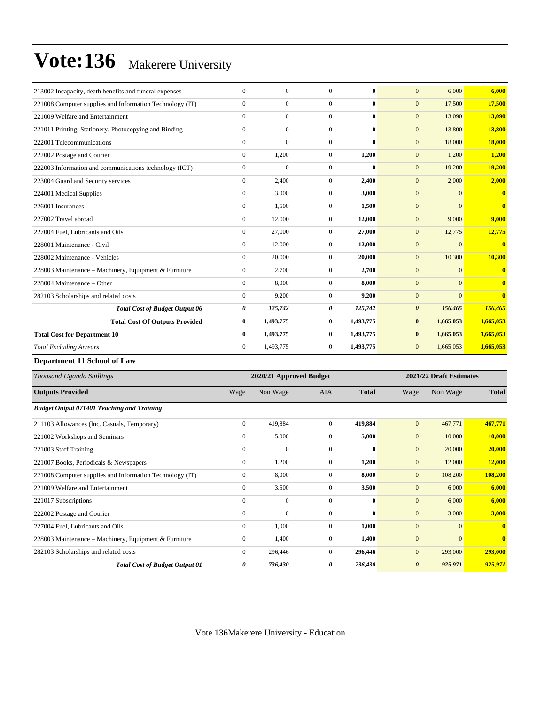| 213002 Incapacity, death benefits and funeral expenses   | $\Omega$       | $\Omega$       | $\Omega$       | 0         | 6,000<br>$\mathbf{0}$            | 6,000                   |
|----------------------------------------------------------|----------------|----------------|----------------|-----------|----------------------------------|-------------------------|
| 221008 Computer supplies and Information Technology (IT) | $\mathbf{0}$   | $\overline{0}$ | $\Omega$       | 0         | $\mathbf{0}$<br>17,500           | 17,500                  |
| 221009 Welfare and Entertainment                         | $\mathbf{0}$   | $\overline{0}$ | $\mathbf{0}$   | $\bf{0}$  | 13,090<br>$\mathbf{0}$           | 13,090                  |
| 221011 Printing, Stationery, Photocopying and Binding    | $\Omega$       | $\overline{0}$ | $\Omega$       | $\bf{0}$  | $\mathbf{0}$<br>13,800           | 13,800                  |
| 222001 Telecommunications                                | $\Omega$       | $\overline{0}$ | $\Omega$       | $\bf{0}$  | $\mathbf{0}$<br>18,000           | 18,000                  |
| 222002 Postage and Courier                               | $\mathbf{0}$   | 1,200          | $\mathbf{0}$   | 1,200     | $\mathbf{0}$<br>1,200            | 1,200                   |
| 222003 Information and communications technology (ICT)   | $\mathbf{0}$   | $\mathbf{0}$   | $\mathbf{0}$   | $\bf{0}$  | 19,200<br>$\mathbf{0}$           | 19,200                  |
| 223004 Guard and Security services                       | $\mathbf{0}$   | 2,400          | $\Omega$       | 2,400     | $\mathbf{0}$<br>2,000            | 2,000                   |
| 224001 Medical Supplies                                  | $\mathbf{0}$   | 3,000          | $\overline{0}$ | 3,000     | $\mathbf{0}$<br>$\mathbf{0}$     | $\overline{\mathbf{0}}$ |
| 226001 Insurances                                        | $\overline{0}$ | 1,500          | $\mathbf{0}$   | 1,500     | $\mathbf{0}$<br>$\mathbf{0}$     | $\overline{0}$          |
| 227002 Travel abroad                                     | $\overline{0}$ | 12,000         | $\overline{0}$ | 12,000    | 9,000<br>$\mathbf{0}$            | 9,000                   |
| 227004 Fuel, Lubricants and Oils                         | $\Omega$       | 27,000         | $\Omega$       | 27,000    | $\mathbf{0}$<br>12,775           | 12,775                  |
| 228001 Maintenance - Civil                               | $\mathbf{0}$   | 12,000         | $\overline{0}$ | 12,000    | $\mathbf{0}$<br>$\mathbf{0}$     | $\overline{\mathbf{0}}$ |
| 228002 Maintenance - Vehicles                            | $\mathbf{0}$   | 20,000         | $\mathbf{0}$   | 20,000    | 10,300<br>$\mathbf{0}$           | 10,300                  |
| 228003 Maintenance - Machinery, Equipment & Furniture    | $\overline{0}$ | 2,700          | $\overline{0}$ | 2,700     | $\mathbf{0}$<br>$\mathbf{0}$     | $\mathbf{0}$            |
| 228004 Maintenance – Other                               | $\theta$       | 8,000          | $\Omega$       | 8,000     | $\Omega$<br>$\mathbf{0}$         | $\overline{0}$          |
| 282103 Scholarships and related costs                    | $\Omega$       | 9,200          | $\Omega$       | 9,200     | $\Omega$<br>$\mathbf{0}$         | $\mathbf{0}$            |
| <b>Total Cost of Budget Output 06</b>                    | 0              | 125,742        | 0              | 125,742   | $\boldsymbol{\theta}$<br>156,465 | 156,465                 |
| <b>Total Cost Of Outputs Provided</b>                    | $\bf{0}$       | 1,493,775      | $\bf{0}$       | 1,493,775 | 1,665,053<br>$\bf{0}$            | 1,665,053               |
| <b>Total Cost for Department 10</b>                      | $\mathbf{0}$   | 1,493,775      | $\bf{0}$       | 1,493,775 | 1,665,053<br>$\bf{0}$            | 1,665,053               |
| <b>Total Excluding Arrears</b>                           | $\Omega$       | 1.493.775      | $\mathbf{0}$   | 1,493,775 | $\mathbf{0}$<br>1,665,053        | 1,665,053               |

**Department 11 School of Law**

| Thousand Uganda Shillings                                | 2020/21 Approved Budget |              |                |              |                       | 2021/22 Draft Estimates |              |  |  |
|----------------------------------------------------------|-------------------------|--------------|----------------|--------------|-----------------------|-------------------------|--------------|--|--|
| <b>Outputs Provided</b>                                  | Wage                    | Non Wage     | <b>AIA</b>     | <b>Total</b> | Wage                  | Non Wage                | <b>Total</b> |  |  |
| <b>Budget Output 071401 Teaching and Training</b>        |                         |              |                |              |                       |                         |              |  |  |
| 211103 Allowances (Inc. Casuals, Temporary)              | $\mathbf{0}$            | 419,884      | $\overline{0}$ | 419,884      | $\mathbf{0}$          | 467,771                 | 467,771      |  |  |
| 221002 Workshops and Seminars                            | $\mathbf{0}$            | 5,000        | $\mathbf{0}$   | 5,000        | $\mathbf{0}$          | 10,000                  | 10,000       |  |  |
| 221003 Staff Training                                    | $\mathbf{0}$            | 0            | $\Omega$       | $\mathbf{0}$ | $\mathbf{0}$          | 20,000                  | 20,000       |  |  |
| 221007 Books, Periodicals & Newspapers                   | $\mathbf{0}$            | 1,200        | 0              | 1,200        | $\mathbf{0}$          | 12,000                  | 12,000       |  |  |
| 221008 Computer supplies and Information Technology (IT) | $\mathbf{0}$            | 8,000        | $\Omega$       | 8,000        | $\mathbf{0}$          | 108,200                 | 108,200      |  |  |
| 221009 Welfare and Entertainment                         | $\mathbf{0}$            | 3,500        | $\overline{0}$ | 3,500        | $\mathbf{0}$          | 6,000                   | 6,000        |  |  |
| 221017 Subscriptions                                     | $\Omega$                | $\Omega$     | $\Omega$       | $\mathbf{0}$ | $\mathbf{0}$          | 6,000                   | 6,000        |  |  |
| 222002 Postage and Courier                               | $\mathbf{0}$            | $\mathbf{0}$ | $\overline{0}$ | $\bf{0}$     | $\mathbf{0}$          | 3,000                   | 3,000        |  |  |
| 227004 Fuel, Lubricants and Oils                         | $\mathbf{0}$            | 1,000        | $\overline{0}$ | 1,000        | $\mathbf{0}$          | $\mathbf{0}$            | $\mathbf{0}$ |  |  |
| 228003 Maintenance – Machinery, Equipment & Furniture    | $\mathbf{0}$            | 1,400        | $\mathbf{0}$   | 1,400        | $\mathbf{0}$          | $\overline{0}$          | $\mathbf{0}$ |  |  |
| 282103 Scholarships and related costs                    | $\mathbf{0}$            | 296,446      | $\overline{0}$ | 296,446      | $\mathbf{0}$          | 293,000                 | 293,000      |  |  |
| <b>Total Cost of Budget Output 01</b>                    | 0                       | 736,430      | 0              | 736,430      | $\boldsymbol{\theta}$ | 925,971                 | 925,971      |  |  |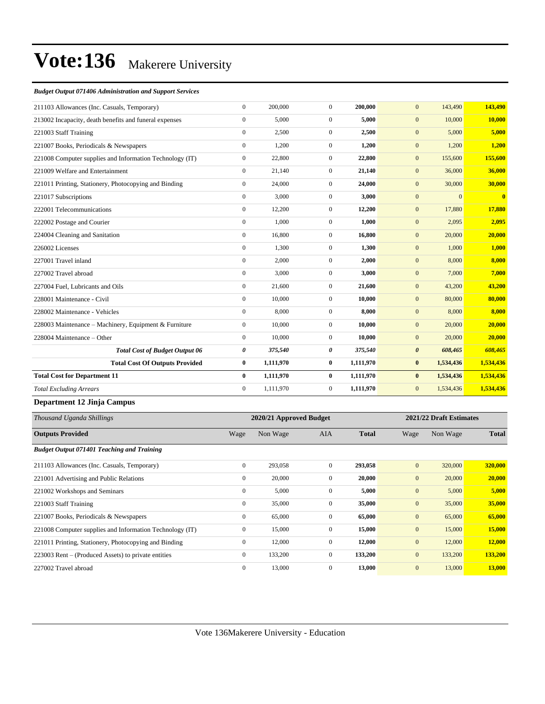#### *Budget Output 071406 Administration and Support Services*

| 211103 Allowances (Inc. Casuals, Temporary)              | $\mathbf{0}$          | 200,000                 | $\overline{0}$   | 200,000      | $\mathbf{0}$     | 143,490                 | 143,490      |
|----------------------------------------------------------|-----------------------|-------------------------|------------------|--------------|------------------|-------------------------|--------------|
| 213002 Incapacity, death benefits and funeral expenses   | $\boldsymbol{0}$      | 5,000                   | $\boldsymbol{0}$ | 5,000        | $\boldsymbol{0}$ | 10,000                  | 10,000       |
| 221003 Staff Training                                    | $\boldsymbol{0}$      | 2,500                   | $\boldsymbol{0}$ | 2,500        | $\mathbf{0}$     | 5,000                   | 5,000        |
| 221007 Books, Periodicals & Newspapers                   | $\boldsymbol{0}$      | 1,200                   | $\overline{0}$   | 1,200        | $\mathbf{0}$     | 1,200                   | 1,200        |
| 221008 Computer supplies and Information Technology (IT) | $\boldsymbol{0}$      | 22,800                  | $\boldsymbol{0}$ | 22,800       | $\boldsymbol{0}$ | 155,600                 | 155,600      |
| 221009 Welfare and Entertainment                         | $\boldsymbol{0}$      | 21,140                  | $\boldsymbol{0}$ | 21,140       | $\mathbf{0}$     | 36,000                  | 36,000       |
| 221011 Printing, Stationery, Photocopying and Binding    | $\mathbf{0}$          | 24,000                  | $\overline{0}$   | 24,000       | $\mathbf{0}$     | 30,000                  | 30,000       |
| 221017 Subscriptions                                     | $\mathbf{0}$          | 3,000                   | $\overline{0}$   | 3,000        | $\boldsymbol{0}$ | $\mathbf{0}$            | $\mathbf{0}$ |
| 222001 Telecommunications                                | $\boldsymbol{0}$      | 12,200                  | $\overline{0}$   | 12,200       | $\boldsymbol{0}$ | 17,880                  | 17,880       |
| 222002 Postage and Courier                               | $\mathbf{0}$          | 1,000                   | $\overline{0}$   | 1,000        | $\mathbf{0}$     | 2,095                   | 2,095        |
| 224004 Cleaning and Sanitation                           | $\mathbf{0}$          | 16,800                  | $\overline{0}$   | 16,800       | $\boldsymbol{0}$ | 20,000                  | 20,000       |
| 226002 Licenses                                          | $\boldsymbol{0}$      | 1,300                   | $\boldsymbol{0}$ | 1,300        | $\mathbf{0}$     | 1,000                   | 1,000        |
| 227001 Travel inland                                     | $\mathbf{0}$          | 2,000                   | $\overline{0}$   | 2,000        | $\boldsymbol{0}$ | 8,000                   | 8,000        |
| 227002 Travel abroad                                     | $\mathbf{0}$          | 3,000                   | $\overline{0}$   | 3,000        | $\boldsymbol{0}$ | 7,000                   | 7,000        |
| 227004 Fuel, Lubricants and Oils                         | $\boldsymbol{0}$      | 21,600                  | $\boldsymbol{0}$ | 21,600       | $\mathbf{0}$     | 43,200                  | 43,200       |
| 228001 Maintenance - Civil                               | $\boldsymbol{0}$      | 10,000                  | $\overline{0}$   | 10,000       | $\mathbf{0}$     | 80,000                  | 80,000       |
| 228002 Maintenance - Vehicles                            | $\boldsymbol{0}$      | 8,000                   | $\overline{0}$   | 8,000        | $\boldsymbol{0}$ | 8,000                   | 8,000        |
| 228003 Maintenance - Machinery, Equipment & Furniture    | $\boldsymbol{0}$      | 10,000                  | $\boldsymbol{0}$ | 10,000       | $\boldsymbol{0}$ | 20,000                  | 20,000       |
| 228004 Maintenance - Other                               | $\mathbf{0}$          | 10,000                  | $\overline{0}$   | 10,000       | $\mathbf{0}$     | 20,000                  | 20,000       |
| <b>Total Cost of Budget Output 06</b>                    | $\boldsymbol{\theta}$ | 375,540                 | 0                | 375,540      | $\pmb{\theta}$   | 608,465                 | 608,465      |
| <b>Total Cost Of Outputs Provided</b>                    | $\pmb{0}$             | 1,111,970               | $\bf{0}$         | 1,111,970    | $\boldsymbol{0}$ | 1,534,436               | 1,534,436    |
| <b>Total Cost for Department 11</b>                      | $\bf{0}$              | 1,111,970               | $\bf{0}$         | 1,111,970    | $\bf{0}$         | 1,534,436               | 1,534,436    |
| <b>Total Excluding Arrears</b>                           | $\mathbf{0}$          | 1,111,970               | $\boldsymbol{0}$ | 1,111,970    | $\mathbf{0}$     | 1,534,436               | 1,534,436    |
| Department 12 Jinja Campus                               |                       |                         |                  |              |                  |                         |              |
| Thousand Uganda Shillings                                |                       | 2020/21 Approved Budget |                  |              |                  | 2021/22 Draft Estimates |              |
| <b>Outputs Provided</b>                                  | Wage                  | Non Wage                | <b>AIA</b>       | <b>Total</b> | Wage             | Non Wage                | <b>Total</b> |
| <b>Budget Output 071401 Teaching and Training</b>        |                       |                         |                  |              |                  |                         |              |
| 211103 Allowances (Inc. Casuals, Temporary)              | $\mathbf{0}$          | 293,058                 | $\mathbf{0}$     | 293,058      | $\mathbf{0}$     | 320,000                 | 320,000      |
| 221001 Advertising and Public Relations                  | $\boldsymbol{0}$      | 20,000                  | $\overline{0}$   | 20,000       | $\mathbf{0}$     | 20,000                  | 20,000       |
| 221002 Workshops and Seminars                            | $\boldsymbol{0}$      | 5,000                   | $\overline{0}$   | 5,000        | $\mathbf{0}$     | 5,000                   | 5,000        |
| 221003 Staff Training                                    | $\mathbf{0}$          | 35,000                  | $\overline{0}$   | 35,000       | $\boldsymbol{0}$ | 35,000                  | 35,000       |
| 221007 Books, Periodicals & Newspapers                   | $\boldsymbol{0}$      | 65,000                  | $\overline{0}$   | 65,000       | $\boldsymbol{0}$ | 65,000                  | 65,000       |
| 221008 Computer supplies and Information Technology (IT) | $\mathbf{0}$          | 15,000                  | $\Omega$         | 15,000       | $\mathbf{0}$     | 15,000                  | 15,000       |

221011 Printing, Stationery, Photocopying and Binding 0 12,000 0 **12,000** 0 12,000 **12,000** 223003 Rent – (Produced Assets) to private entities 0 133,200 0 133,200 0 133,200 0 133,200 133,200 133,200 227002 Travel abroad 0 13,000 0 **13,000** 0 13,000 **13,000**